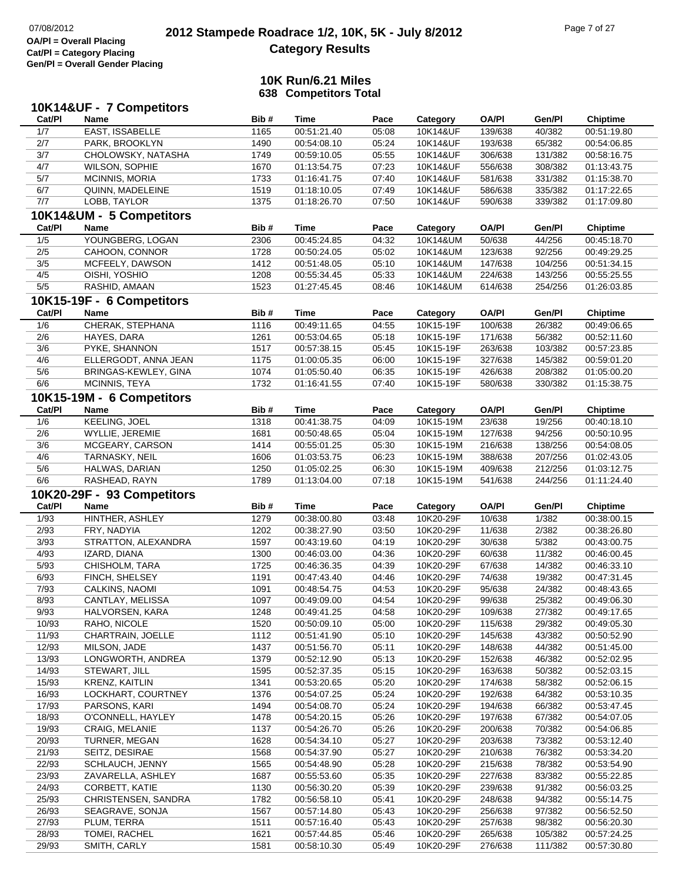# **2012 Stampede Roadrace 1/2, 10K, 5K - July 8/2012** 07/08/2012 Page 7 of 27 **Category Results**

|        | 10K14&UF - 7 Competitors   |              |             |       |                       |              |         |                 |
|--------|----------------------------|--------------|-------------|-------|-----------------------|--------------|---------|-----------------|
| Cat/PI | <b>Name</b>                | Bib#         | <b>Time</b> | Pace  | Category              | <b>OA/PI</b> | Gen/Pl  | <b>Chiptime</b> |
| 1/7    | EAST, ISSABELLE            | 1165         | 00:51:21.40 | 05:08 | 10K14&UF              | 139/638      | 40/382  | 00:51:19.80     |
| 2/7    | PARK, BROOKLYN             | 1490         | 00:54:08.10 | 05:24 | 10K14&UF              | 193/638      | 65/382  | 00:54:06.85     |
| 3/7    | CHOLOWSKY, NATASHA         | 1749         | 00:59:10.05 | 05:55 | 10K14&UF              | 306/638      | 131/382 | 00:58:16.75     |
| 4/7    | <b>WILSON, SOPHIE</b>      | 1670         | 01:13:54.75 | 07:23 | 10K14&UF              | 556/638      | 308/382 | 01:13:43.75     |
| 5/7    | <b>MCINNIS, MORIA</b>      | 1733         | 01:16:41.75 | 07:40 | 10K14&UF              | 581/638      | 331/382 | 01:15:38.70     |
| 6/7    | QUINN, MADELEINE           | 1519         | 01:18:10.05 | 07:49 | 10K14&UF              | 586/638      | 335/382 | 01:17:22.65     |
| 7/7    | LOBB, TAYLOR               | 1375         | 01:18:26.70 | 07:50 | 10K14&UF              | 590/638      | 339/382 | 01:17:09.80     |
|        | 10K14&UM - 5 Competitors   |              |             |       |                       |              |         |                 |
| Cat/PI | Name                       | Bib#         | Time        | Pace  | Category              | <b>OA/PI</b> | Gen/Pl  | <b>Chiptime</b> |
| 1/5    | YOUNGBERG, LOGAN           | 2306         | 00:45:24.85 | 04:32 | 10K14&UM              | 50/638       | 44/256  | 00:45:18.70     |
| 2/5    | CAHOON, CONNOR             | 1728         | 00:50:24.05 | 05:02 | 10K14&UM              | 123/638      | 92/256  | 00:49:29.25     |
| 3/5    | MCFEELY, DAWSON            | 1412         | 00:51:48.05 | 05:10 | 10K14&UM              | 147/638      | 104/256 | 00:51:34.15     |
| 4/5    | OISHI, YOSHIO              | 1208         | 00:55:34.45 | 05:33 | 10K14&UM              | 224/638      | 143/256 | 00:55:25.55     |
| $5/5$  | RASHID, AMAAN              | 1523         | 01:27:45.45 | 08:46 | 10K14&UM              | 614/638      | 254/256 | 01:26:03.85     |
|        | 10K15-19F - 6 Competitors  |              |             |       |                       |              |         |                 |
| Cat/PI | Name                       | Bib#         | <b>Time</b> | Pace  | Category              | <b>OA/PI</b> | Gen/Pl  | <b>Chiptime</b> |
| 1/6    | CHERAK, STEPHANA           | 1116         | 00:49:11.65 | 04:55 | 10K15-19F             | 100/638      | 26/382  | 00:49:06.65     |
| 2/6    | HAYES, DARA                | 1261         | 00:53:04.65 | 05:18 | 10K15-19F             | 171/638      | 56/382  | 00:52:11.60     |
| 3/6    | PYKE, SHANNON              | 1517         | 00:57:38.15 | 05:45 | 10K15-19F             | 263/638      | 103/382 | 00:57:23.85     |
| 4/6    | ELLERGODT, ANNA JEAN       | 1175         | 01:00:05.35 | 06:00 | 10K15-19F             | 327/638      | 145/382 | 00:59:01.20     |
| 5/6    | BRINGAS-KEWLEY, GINA       | 1074         | 01:05:50.40 | 06:35 | 10K15-19F             | 426/638      | 208/382 | 01:05:00.20     |
| 6/6    | MCINNIS, TEYA              | 1732         | 01:16:41.55 | 07:40 | 10K15-19F             | 580/638      | 330/382 | 01:15:38.75     |
|        | 10K15-19M - 6 Competitors  |              |             |       |                       |              |         |                 |
| Cat/PI | Name                       | Bib#         | <b>Time</b> | Pace  | Category              | <b>OA/PI</b> | Gen/Pl  | <b>Chiptime</b> |
| 1/6    | <b>KEELING, JOEL</b>       | 1318         | 00:41:38.75 | 04:09 | 10K15-19M             | 23/638       | 19/256  | 00:40:18.10     |
| 2/6    | WYLLIE, JEREMIE            | 1681         | 00:50:48.65 | 05:04 | 10K15-19M             | 127/638      | 94/256  | 00:50:10.95     |
| 3/6    | MCGEARY, CARSON            | 1414         | 00:55:01.25 | 05:30 | 10K15-19M             | 216/638      | 138/256 | 00:54:08.05     |
| 4/6    | TARNASKY, NEIL             | 1606         | 01:03:53.75 | 06:23 | 10K15-19M             | 388/638      | 207/256 | 01:02:43.05     |
| 5/6    | HALWAS, DARIAN             | 1250         | 01:05:02.25 | 06:30 | 10K15-19M             | 409/638      | 212/256 | 01:03:12.75     |
| 6/6    | RASHEAD, RAYN              | 1789         | 01:13:04.00 | 07:18 | 10K15-19M             | 541/638      | 244/256 | 01:11:24.40     |
|        |                            |              |             |       |                       |              |         |                 |
| Cat/PI | 10K20-29F - 93 Competitors | Bib#         | <b>Time</b> | Pace  |                       | <b>OA/PI</b> | Gen/Pl  | <b>Chiptime</b> |
| 1/93   | Name<br>HINTHER, ASHLEY    | 1279         | 00:38:00.80 | 03:48 | Category<br>10K20-29F | 10/638       | 1/382   | 00:38:00.15     |
| 2/93   | FRY, NADYIA                | 1202         | 00:38:27.90 | 03:50 | 10K20-29F             | 11/638       | 2/382   | 00:38:26.80     |
|        |                            |              |             | 04:19 | 10K20-29F             |              | 5/382   |                 |
| 3/93   | STRATTON, ALEXANDRA        | 1597<br>1300 | 00:43:19.60 |       | 10K20-29F             | 30/638       |         | 00:43:00.75     |
| 4/93   | IZARD, DIANA               |              | 00:46:03.00 | 04:36 |                       | 60/638       | 11/382  | 00:46:00.45     |
| 5/93   | CHISHOLM, TARA             | 1725         | 00:46:36.35 | 04:39 | 10K20-29F             | 67/638       | 14/382  | 00:46:33.10     |
| 6/93   | FINCH, SHELSEY             | 1191         | 00:47:43.40 | 04:46 | 10K20-29F             | 74/638       | 19/382  | 00:47:31.45     |
| 7/93   | CALKINS, NAOMI             | 1091         | 00:48:54.75 | 04:53 | 10K20-29F             | 95/638       | 24/382  | 00:48:43.65     |
| 8/93   | CANTLAY, MELISSA           | 1097         | 00:49:09.00 | 04:54 | 10K20-29F             | 99/638       | 25/382  | 00:49:06.30     |
| 9/93   | HALVORSEN, KARA            | 1248         | 00:49:41.25 | 04:58 | 10K20-29F             | 109/638      | 27/382  | 00:49:17.65     |
| 10/93  | RAHO, NICOLE               | 1520         | 00:50:09.10 | 05:00 | 10K20-29F             | 115/638      | 29/382  | 00:49:05.30     |
| 11/93  | CHARTRAIN, JOELLE          | 1112         | 00:51:41.90 | 05:10 | 10K20-29F             | 145/638      | 43/382  | 00:50:52.90     |
| 12/93  | MILSON, JADE               | 1437         | 00:51:56.70 | 05:11 | 10K20-29F             | 148/638      | 44/382  | 00:51:45.00     |
| 13/93  | LONGWORTH, ANDREA          | 1379         | 00:52:12.90 | 05:13 | 10K20-29F             | 152/638      | 46/382  | 00:52:02.95     |
| 14/93  | STEWART, JILL              | 1595         | 00:52:37.35 | 05:15 | 10K20-29F             | 163/638      | 50/382  | 00:52:03.15     |
| 15/93  | <b>KRENZ, KAITLIN</b>      | 1341         | 00:53:20.65 | 05:20 | 10K20-29F             | 174/638      | 58/382  | 00:52:06.15     |
| 16/93  | LOCKHART, COURTNEY         | 1376         | 00:54:07.25 | 05:24 | 10K20-29F             | 192/638      | 64/382  | 00:53:10.35     |
| 17/93  | PARSONS, KARI              | 1494         | 00:54:08.70 | 05:24 | 10K20-29F             | 194/638      | 66/382  | 00:53:47.45     |
| 18/93  | O'CONNELL, HAYLEY          | 1478         | 00:54:20.15 | 05:26 | 10K20-29F             | 197/638      | 67/382  | 00:54:07.05     |
|        |                            |              | 00:54:26.70 | 05:26 | 10K20-29F             | 200/638      | 70/382  | 00:54:06.85     |
| 19/93  | CRAIG, MELANIE             | 1137         |             |       |                       |              |         |                 |
| 20/93  | TURNER, MEGAN              | 1628         | 00:54:34.10 | 05:27 | 10K20-29F             | 203/638      | 73/382  | 00:53:12.40     |
| 21/93  | SEITZ, DESIRAE             | 1568         | 00:54:37.90 | 05:27 | 10K20-29F             | 210/638      | 76/382  | 00:53:34.20     |
| 22/93  | SCHLAUCH, JENNY            | 1565         | 00:54:48.90 | 05:28 | 10K20-29F             | 215/638      | 78/382  | 00:53:54.90     |
| 23/93  | ZAVARELLA, ASHLEY          | 1687         | 00:55:53.60 | 05:35 | 10K20-29F             | 227/638      | 83/382  | 00:55:22.85     |
| 24/93  | <b>CORBETT, KATIE</b>      | 1130         | 00:56:30.20 | 05:39 | 10K20-29F             | 239/638      | 91/382  | 00:56:03.25     |
| 25/93  | CHRISTENSEN, SANDRA        | 1782         | 00:56:58.10 | 05:41 | 10K20-29F             | 248/638      | 94/382  | 00:55:14.75     |
| 26/93  | SEAGRAVE, SONJA            | 1567         | 00:57:14.80 | 05:43 | 10K20-29F             | 256/638      | 97/382  | 00:56:52.50     |
| 27/93  | PLUM, TERRA                | 1511         | 00:57:16.40 | 05:43 | 10K20-29F             | 257/638      | 98/382  | 00:56:20.30     |
| 28/93  | TOMEI, RACHEL              | 1621         | 00:57:44.85 | 05:46 | 10K20-29F             | 265/638      | 105/382 | 00:57:24.25     |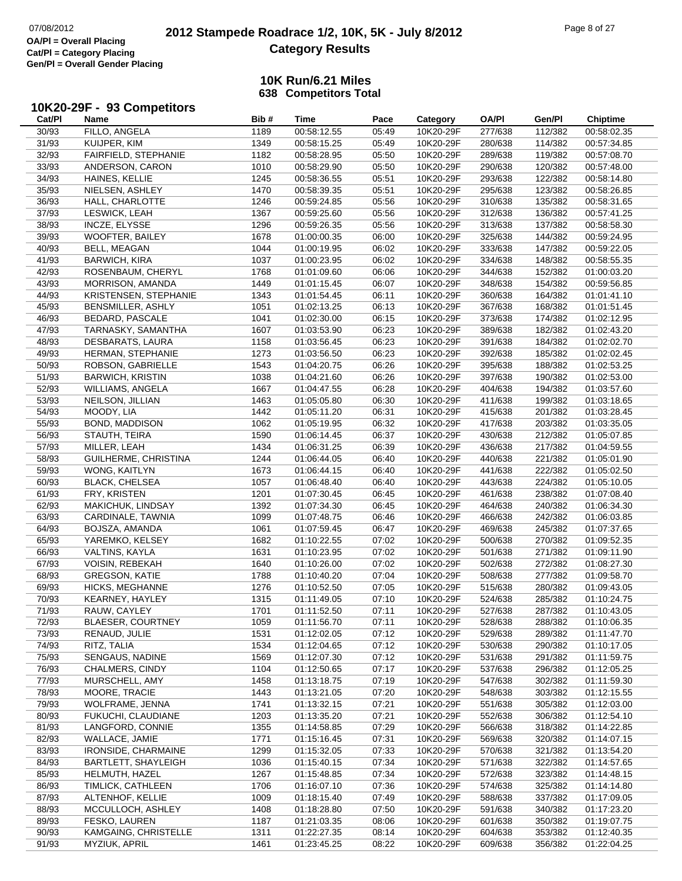# **2012 Stampede Roadrace 1/2, 10K, 5K - July 8/2012** 07/08/2012 Page 8 of 27 **Category Results**

### **10K Run/6.21 Miles638 Competitors Total**

# **10K20-29F - 93 Competitors Cat/Pl**

| Cat/PI         | Name                                         | Bib#         | <b>Time</b>                | Pace           | Category               | <b>OA/PI</b>       | Gen/Pl             | <b>Chiptime</b>            |
|----------------|----------------------------------------------|--------------|----------------------------|----------------|------------------------|--------------------|--------------------|----------------------------|
| 30/93          | FILLO, ANGELA                                | 1189         | 00:58:12.55                | 05:49          | 10K20-29F              | 277/638            | 112/382            | 00:58:02.35                |
| 31/93          | KUIJPER, KIM                                 | 1349         | 00:58:15.25                | 05:49          | 10K20-29F              | 280/638            | 114/382            | 00:57:34.85                |
| 32/93          | <b>FAIRFIELD, STEPHANIE</b>                  | 1182         | 00:58:28.95                | 05:50          | 10K20-29F              | 289/638            | 119/382            | 00:57:08.70                |
| 33/93          | ANDERSON, CARON                              | 1010         | 00:58:29.90                | 05:50          | 10K20-29F              | 290/638            | 120/382            | 00:57:48.00                |
| 34/93          | HAINES, KELLIE                               | 1245         | 00:58:36.55                | 05:51          | 10K20-29F              | 293/638            | 122/382            | 00:58:14.80                |
| 35/93          | NIELSEN, ASHLEY                              | 1470         | 00:58:39.35                | 05:51          | 10K20-29F              | 295/638            | 123/382            | 00:58:26.85                |
| 36/93          | HALL, CHARLOTTE                              | 1246         | 00:59:24.85                | 05:56          | 10K20-29F              | 310/638            | 135/382            | 00:58:31.65                |
| 37/93          | LESWICK, LEAH                                | 1367         | 00:59:25.60                | 05:56          | 10K20-29F              | 312/638            | 136/382            | 00:57:41.25                |
| 38/93          | INCZE, ELYSSE                                | 1296         | 00:59:26.35                | 05:56          | 10K20-29F              | 313/638            | 137/382            | 00:58:58.30                |
| 39/93          | <b>WOOFTER, BAILEY</b>                       | 1678         | 01:00:00.35                | 06:00          | 10K20-29F              | 325/638            | 144/382            | 00:59:24.95                |
| 40/93          | BELL, MEAGAN                                 | 1044         | 01:00:19.95                | 06:02          | 10K20-29F              | 333/638            | 147/382            | 00:59:22.05                |
| 41/93          | <b>BARWICH, KIRA</b>                         | 1037         | 01:00:23.95                | 06:02          | 10K20-29F              | 334/638            | 148/382            | 00:58:55.35                |
| 42/93          | ROSENBAUM, CHERYL                            | 1768         | 01:01:09.60                | 06:06          | 10K20-29F              | 344/638            | 152/382            | 01:00:03.20                |
| 43/93          | MORRISON, AMANDA                             | 1449         | 01:01:15.45                | 06:07          | 10K20-29F              | 348/638            | 154/382            | 00:59:56.85                |
| 44/93          | KRISTENSEN, STEPHANIE                        | 1343         | 01:01:54.45                | 06:11          | 10K20-29F              | 360/638            | 164/382            | 01:01:41.10                |
| 45/93          | BENSMILLER, ASHLY                            | 1051         | 01:02:13.25                | 06:13          | 10K20-29F              | 367/638            | 168/382            | 01:01:51.45                |
| 46/93          | BEDARD, PASCALE                              | 1041         | 01:02:30.00                | 06:15          | 10K20-29F              | 373/638            | 174/382            | 01:02:12.95                |
| 47/93          | TARNASKY, SAMANTHA                           | 1607         | 01:03:53.90                | 06:23          | 10K20-29F              | 389/638            | 182/382            | 01:02:43.20                |
| 48/93          | DESBARATS, LAURA                             | 1158         | 01:03:56.45                | 06:23          | 10K20-29F              | 391/638            | 184/382            | 01:02:02.70                |
| 49/93          | HERMAN, STEPHANIE                            | 1273         | 01:03:56.50                | 06:23          | 10K20-29F              | 392/638            | 185/382            | 01:02:02.45                |
| 50/93          | ROBSON, GABRIELLE                            | 1543         | 01:04:20.75                | 06:26          | 10K20-29F              | 395/638            | 188/382            | 01:02:53.25                |
| 51/93          | <b>BARWICH, KRISTIN</b>                      | 1038         | 01:04:21.60                | 06:26          | 10K20-29F              | 397/638            | 190/382            | 01:02:53.00                |
| 52/93          | WILLIAMS, ANGELA                             | 1667         | 01:04:47.55                | 06:28          | 10K20-29F              | 404/638            | 194/382            | 01:03:57.60                |
| 53/93          | NEILSON, JILLIAN                             | 1463         | 01:05:05.80                | 06:30          | 10K20-29F              | 411/638            | 199/382            | 01:03:18.65                |
| 54/93          | MOODY, LIA                                   | 1442         | 01:05:11.20                | 06:31          | 10K20-29F              | 415/638            | 201/382            | 01:03:28.45                |
| 55/93          | BOND, MADDISON                               | 1062         | 01:05:19.95                | 06:32          | 10K20-29F              | 417/638            | 203/382            | 01:03:35.05                |
| 56/93          | STAUTH, TEIRA                                | 1590         | 01:06:14.45                | 06:37          | 10K20-29F              | 430/638            | 212/382            | 01:05:07.85                |
| 57/93          | MILLER, LEAH                                 | 1434         | 01:06:31.25                | 06:39          | 10K20-29F              | 436/638            | 217/382            | 01:04:59.55                |
| 58/93          | GUILHERME, CHRISTINA                         | 1244         | 01:06:44.05                | 06:40          | 10K20-29F              | 440/638            | 221/382            | 01:05:01.90                |
| 59/93          | WONG, KAITLYN                                | 1673         | 01:06:44.15                | 06:40          | 10K20-29F              | 441/638            | 222/382            | 01:05:02.50                |
| 60/93          | <b>BLACK, CHELSEA</b>                        | 1057         | 01:06:48.40                | 06:40          | 10K20-29F              | 443/638            | 224/382            | 01:05:10.05                |
| 61/93          | FRY, KRISTEN                                 | 1201         | 01:07:30.45                | 06:45          | 10K20-29F              | 461/638            | 238/382            | 01:07:08.40                |
| 62/93          | MAKICHUK, LINDSAY                            | 1392         | 01:07:34.30                | 06:45          | 10K20-29F              | 464/638            | 240/382            | 01:06:34.30                |
| 63/93          | CARDINALE, TAWNIA                            | 1099         | 01:07:48.75                | 06:46          | 10K20-29F              | 466/638            | 242/382            | 01:06:03.85                |
| 64/93          | BOJSZA, AMANDA                               | 1061         | 01:07:59.45                | 06:47          | 10K20-29F              | 469/638            | 245/382            | 01:07:37.65                |
| 65/93          | YAREMKO, KELSEY                              | 1682         | 01:10:22.55                | 07:02          | 10K20-29F              | 500/638            | 270/382            | 01:09:52.35                |
| 66/93          | VALTINS, KAYLA                               | 1631         | 01:10:23.95                | 07:02          | 10K20-29F              | 501/638            | 271/382            | 01:09:11.90                |
| 67/93          | <b>VOISIN, REBEKAH</b>                       | 1640         | 01:10:26.00                | 07:02          | 10K20-29F              | 502/638            | 272/382            | 01:08:27.30                |
| 68/93          | <b>GREGSON, KATIE</b>                        | 1788         | 01:10:40.20                | 07:04          | 10K20-29F              | 508/638            | 277/382            | 01:09:58.70                |
| 69/93          | HICKS, MEGHANNE                              | 1276         | 01:10:52.50                | 07:05          | 10K20-29F              | 515/638            | 280/382            | 01:09:43.05                |
| 70/93          | KEARNEY, HAYLEY                              | 1315         | 01:11:49.05                | 07:10          | 10K20-29F              | 524/638            | 285/382            | 01:10:24.75                |
| 71/93          | RAUW, CAYLEY                                 | 1701         | 01:11:52.50                | 07:11          | 10K20-29F              | 527/638            | 287/382            | 01:10:43.05                |
| 72/93          | BLAESER, COURTNEY                            | 1059         | 01:11:56.70                | 07:11          | 10K20-29F              | 528/638            | 288/382            | 01:10:06.35                |
| 73/93          | RENAUD, JULIE                                | 1531         | 01:12:02.05                | 07:12          | 10K20-29F              | 529/638            | 289/382            | 01:11:47.70                |
| 74/93          | RITZ, TALIA                                  | 1534         | 01:12:04.65                | 07:12          | 10K20-29F              | 530/638            | 290/382            | 01:10:17.05                |
| 75/93          | SENGAUS, NADINE                              | 1569         | 01:12:07.30                | 07:12          | 10K20-29F              | 531/638            | 291/382            | 01:11:59.75                |
| 76/93          | CHALMERS, CINDY                              | 1104         | 01:12:50.65                | 07:17          | 10K20-29F              | 537/638            | 296/382            | 01:12:05.25                |
| 77/93          | MURSCHELL, AMY                               | 1458         | 01:13:18.75                | 07:19          | 10K20-29F              | 547/638            | 302/382            | 01:11:59.30                |
| 78/93          | MOORE, TRACIE                                | 1443         | 01:13:21.05                | 07:20          | 10K20-29F              | 548/638            | 303/382            | 01:12:15.55                |
| 79/93          | WOLFRAME, JENNA                              | 1741         | 01:13:32.15                | 07:21          | 10K20-29F              | 551/638            | 305/382            | 01:12:03.00                |
| 80/93          | FUKUCHI, CLAUDIANE                           | 1203         | 01:13:35.20                | 07:21          | 10K20-29F              | 552/638            | 306/382            | 01:12:54.10                |
| 81/93          | LANGFORD, CONNIE                             | 1355         | 01:14:58.85<br>01:15:16.45 | 07:29          | 10K20-29F              | 566/638            | 318/382            | 01:14:22.85                |
| 82/93<br>83/93 | WALLACE, JAMIE<br><b>IRONSIDE, CHARMAINE</b> | 1771<br>1299 | 01:15:32.05                | 07:31<br>07:33 | 10K20-29F<br>10K20-29F | 569/638<br>570/638 | 320/382<br>321/382 | 01:14:07.15<br>01:13:54.20 |
| 84/93          | BARTLETT, SHAYLEIGH                          | 1036         | 01:15:40.15                | 07:34          | 10K20-29F              | 571/638            | 322/382            |                            |
| 85/93          | HELMUTH, HAZEL                               | 1267         |                            | 07:34          | 10K20-29F              | 572/638            | 323/382            | 01:14:57.65                |
| 86/93          | TIMLICK, CATHLEEN                            | 1706         | 01:15:48.85<br>01:16:07.10 | 07:36          | 10K20-29F              | 574/638            | 325/382            | 01:14:48.15<br>01:14:14.80 |
| 87/93          | ALTENHOF, KELLIE                             | 1009         | 01:18:15.40                | 07:49          | 10K20-29F              | 588/638            | 337/382            | 01:17:09.05                |
| 88/93          | MCCULLOCH, ASHLEY                            | 1408         | 01:18:28.80                | 07:50          | 10K20-29F              | 591/638            | 340/382            | 01:17:23.20                |
| 89/93          | FESKO, LAUREN                                | 1187         | 01:21:03.35                | 08:06          | 10K20-29F              | 601/638            | 350/382            | 01:19:07.75                |
| 90/93          | KAMGAING, CHRISTELLE                         | 1311         | 01:22:27.35                | 08:14          | 10K20-29F              | 604/638            | 353/382            | 01:12:40.35                |
| 91/93          | MYZIUK, APRIL                                | 1461         | 01:23:45.25                | 08:22          | 10K20-29F              | 609/638            | 356/382            | 01:22:04.25                |
|                |                                              |              |                            |                |                        |                    |                    |                            |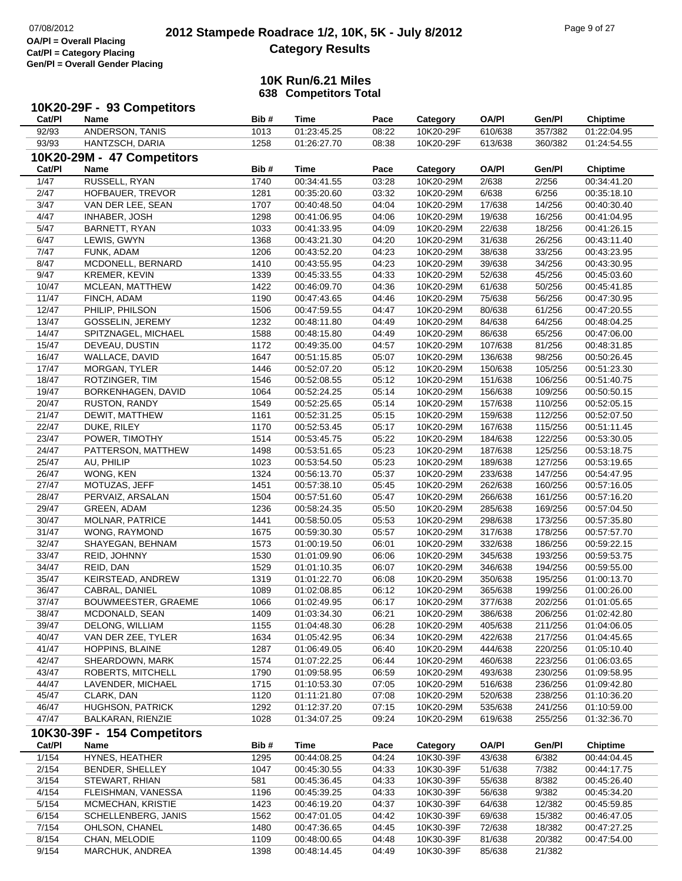| Cat/PI | 10K20-29F - 93 Competitors<br>Name | Bib# | Time        | Pace  | Category  | <b>OA/PI</b> | Gen/Pl  | <b>Chiptime</b> |
|--------|------------------------------------|------|-------------|-------|-----------|--------------|---------|-----------------|
| 92/93  | ANDERSON, TANIS                    | 1013 | 01:23:45.25 | 08:22 | 10K20-29F | 610/638      | 357/382 | 01:22:04.95     |
| 93/93  | HANTZSCH, DARIA                    | 1258 | 01:26:27.70 | 08:38 | 10K20-29F | 613/638      | 360/382 | 01:24:54.55     |
|        | 10K20-29M - 47 Competitors         |      |             |       |           |              |         |                 |
| Cat/Pl | Name                               | Bib# | <b>Time</b> | Pace  | Category  | <b>OA/PI</b> | Gen/Pl  | <b>Chiptime</b> |
| 1/47   | RUSSELL, RYAN                      | 1740 | 00:34:41.55 | 03:28 | 10K20-29M | 2/638        | 2/256   | 00:34:41.20     |
| 2/47   | HOFBAUER, TREVOR                   | 1281 | 00:35:20.60 | 03:32 | 10K20-29M | 6/638        | 6/256   | 00:35:18.10     |
| 3/47   | VAN DER LEE, SEAN                  | 1707 | 00:40:48.50 | 04:04 | 10K20-29M | 17/638       | 14/256  | 00:40:30.40     |
| 4/47   | <b>INHABER, JOSH</b>               | 1298 | 00:41:06.95 | 04:06 | 10K20-29M | 19/638       | 16/256  | 00:41:04.95     |
| 5/47   | BARNETT, RYAN                      | 1033 | 00:41:33.95 | 04:09 | 10K20-29M | 22/638       | 18/256  | 00:41:26.15     |
| 6/47   | LEWIS, GWYN                        | 1368 | 00:43:21.30 | 04:20 | 10K20-29M | 31/638       | 26/256  | 00:43:11.40     |
| 7/47   | FUNK, ADAM                         | 1206 | 00:43:52.20 | 04:23 | 10K20-29M | 38/638       | 33/256  | 00:43:23.95     |
| 8/47   | MCDONELL, BERNARD                  | 1410 | 00:43:55.95 | 04:23 | 10K20-29M | 39/638       | 34/256  | 00:43:30.95     |
| 9/47   | KREMER, KEVIN                      | 1339 | 00:45:33.55 | 04:33 | 10K20-29M | 52/638       | 45/256  | 00:45:03.60     |
| 10/47  | MCLEAN, MATTHEW                    | 1422 | 00:46:09.70 | 04:36 | 10K20-29M | 61/638       | 50/256  | 00:45:41.85     |
| 11/47  | FINCH, ADAM                        | 1190 | 00:47:43.65 | 04:46 | 10K20-29M | 75/638       | 56/256  | 00:47:30.95     |
| 12/47  | PHILIP, PHILSON                    | 1506 | 00:47:59.55 | 04:47 | 10K20-29M | 80/638       | 61/256  | 00:47:20.55     |
| 13/47  | GOSSELIN, JEREMY                   | 1232 | 00:48:11.80 | 04:49 | 10K20-29M | 84/638       | 64/256  | 00:48:04.25     |
| 14/47  | SPITZNAGEL, MICHAEL                | 1588 | 00:48:15.80 | 04:49 | 10K20-29M | 86/638       | 65/256  | 00:47:06.00     |
| 15/47  | DEVEAU, DUSTIN                     | 1172 | 00:49:35.00 | 04:57 | 10K20-29M | 107/638      | 81/256  | 00:48:31.85     |
| 16/47  | WALLACE, DAVID                     | 1647 | 00:51:15.85 | 05:07 | 10K20-29M | 136/638      | 98/256  | 00:50:26.45     |
| 17/47  | MORGAN, TYLER                      | 1446 | 00:52:07.20 | 05:12 | 10K20-29M | 150/638      | 105/256 | 00:51:23.30     |
| 18/47  | ROTZINGER, TIM                     | 1546 | 00:52:08.55 | 05:12 | 10K20-29M | 151/638      | 106/256 | 00:51:40.75     |
| 19/47  | BORKENHAGEN, DAVID                 | 1064 | 00:52:24.25 | 05:14 | 10K20-29M | 156/638      | 109/256 | 00:50:50.15     |
| 20/47  | <b>RUSTON, RANDY</b>               | 1549 | 00:52:25.65 | 05:14 | 10K20-29M | 157/638      | 110/256 | 00:52:05.15     |
| 21/47  | DEWIT, MATTHEW                     | 1161 | 00:52:31.25 | 05:15 | 10K20-29M | 159/638      | 112/256 | 00:52:07.50     |
| 22/47  | DUKE, RILEY                        | 1170 | 00:52:53.45 | 05:17 | 10K20-29M | 167/638      | 115/256 | 00:51:11.45     |
| 23/47  | POWER, TIMOTHY                     | 1514 | 00:53:45.75 | 05:22 | 10K20-29M | 184/638      | 122/256 | 00:53:30.05     |
| 24/47  | PATTERSON, MATTHEW                 | 1498 | 00:53:51.65 | 05:23 | 10K20-29M | 187/638      | 125/256 | 00:53:18.75     |
| 25/47  | AU, PHILIP                         | 1023 | 00:53:54.50 | 05:23 | 10K20-29M | 189/638      | 127/256 | 00:53:19.65     |
| 26/47  | WONG, KEN                          | 1324 | 00:56:13.70 | 05:37 | 10K20-29M | 233/638      | 147/256 | 00:54:47.95     |
| 27/47  | MOTUZAS, JEFF                      | 1451 | 00:57:38.10 | 05:45 | 10K20-29M | 262/638      | 160/256 | 00:57:16.05     |
| 28/47  | PERVAIZ, ARSALAN                   | 1504 | 00:57:51.60 | 05:47 | 10K20-29M | 266/638      | 161/256 | 00:57:16.20     |
| 29/47  | GREEN, ADAM                        | 1236 | 00:58:24.35 | 05:50 | 10K20-29M | 285/638      | 169/256 | 00:57:04.50     |
| 30/47  | <b>MOLNAR, PATRICE</b>             | 1441 | 00:58:50.05 | 05:53 | 10K20-29M | 298/638      | 173/256 | 00:57:35.80     |
| 31/47  | WONG, RAYMOND                      | 1675 | 00:59:30.30 | 05:57 | 10K20-29M | 317/638      | 178/256 | 00:57:57.70     |
| 32/47  | SHAYEGAN, BEHNAM                   | 1573 | 01:00:19.50 | 06:01 | 10K20-29M | 332/638      | 186/256 | 00:59:22.15     |
| 33/47  | REID, JOHNNY                       | 1530 | 01:01:09.90 | 06:06 | 10K20-29M | 345/638      | 193/256 | 00:59:53.75     |
| 34/47  | REID, DAN                          | 1529 | 01:01:10.35 | 06:07 | 10K20-29M | 346/638      | 194/256 | 00:59:55.00     |
| 35/47  | KEIRSTEAD, ANDREW                  | 1319 | 01:01:22.70 | 06:08 | 10K20-29M | 350/638      | 195/256 | 01:00:13.70     |
| 36/47  | CABRAL, DANIEL                     | 1089 | 01:02:08.85 | 06:12 | 10K20-29M | 365/638      | 199/256 | 01:00:26.00     |
| 37/47  | BOUWMEESTER, GRAEME                | 1066 | 01:02:49.95 | 06:17 | 10K20-29M | 377/638      | 202/256 | 01:01:05.65     |
| 38/47  | MCDONALD, SEAN                     | 1409 | 01:03:34.30 | 06:21 | 10K20-29M | 386/638      | 206/256 | 01:02:42.80     |
| 39/47  | DELONG, WILLIAM                    | 1155 | 01:04:48.30 | 06:28 | 10K20-29M | 405/638      | 211/256 | 01:04:06.05     |
| 40/47  | VAN DER ZEE, TYLER                 | 1634 | 01:05:42.95 | 06:34 | 10K20-29M | 422/638      | 217/256 | 01:04:45.65     |
| 41/47  | HOPPINS, BLAINE                    | 1287 | 01:06:49.05 | 06:40 | 10K20-29M | 444/638      | 220/256 | 01:05:10.40     |
| 42/47  | SHEARDOWN, MARK                    | 1574 | 01:07:22.25 | 06:44 | 10K20-29M | 460/638      | 223/256 | 01:06:03.65     |
| 43/47  | ROBERTS, MITCHELL                  | 1790 | 01:09:58.95 | 06:59 | 10K20-29M | 493/638      | 230/256 | 01:09:58.95     |
| 44/47  | LAVENDER, MICHAEL                  | 1715 | 01:10:53.30 | 07:05 | 10K20-29M | 516/638      | 236/256 | 01:09:42.80     |
| 45/47  | CLARK, DAN                         | 1120 | 01:11:21.80 | 07:08 | 10K20-29M | 520/638      | 238/256 | 01:10:36.20     |
| 46/47  | HUGHSON, PATRICK                   | 1292 | 01:12:37.20 | 07:15 | 10K20-29M | 535/638      | 241/256 | 01:10:59.00     |
| 47/47  | BALKARAN, RIENZIE                  | 1028 | 01:34:07.25 | 09:24 | 10K20-29M | 619/638      | 255/256 | 01:32:36.70     |
|        | 10K30-39F - 154 Competitors        |      |             |       |           |              |         |                 |
| Cat/PI | Name                               | Bib# | <b>Time</b> | Pace  | Category  | <b>OA/PI</b> | Gen/Pl  | <b>Chiptime</b> |
| 1/154  | HYNES, HEATHER                     | 1295 | 00:44:08.25 | 04:24 | 10K30-39F | 43/638       | 6/382   | 00:44:04.45     |
| 2/154  | BENDER, SHELLEY                    | 1047 | 00:45:30.55 | 04:33 | 10K30-39F | 51/638       | 7/382   | 00:44:17.75     |
| 3/154  | STEWART, RHIAN                     | 581  | 00:45:36.45 | 04:33 | 10K30-39F | 55/638       | 8/382   | 00:45:26.40     |
| 4/154  | FLEISHMAN, VANESSA                 | 1196 | 00:45:39.25 | 04:33 | 10K30-39F | 56/638       | 9/382   | 00:45:34.20     |
| 5/154  | MCMECHAN, KRISTIE                  | 1423 | 00:46:19.20 | 04:37 | 10K30-39F | 64/638       | 12/382  | 00:45:59.85     |
| 6/154  | SCHELLENBERG, JANIS                | 1562 | 00:47:01.05 | 04:42 | 10K30-39F | 69/638       | 15/382  | 00:46:47.05     |
| 7/154  | OHLSON, CHANEL                     | 1480 | 00:47:36.65 | 04:45 | 10K30-39F | 72/638       | 18/382  | 00:47:27.25     |
| 8/154  | CHAN, MELODIE                      | 1109 | 00:48:00.65 | 04:48 | 10K30-39F | 81/638       | 20/382  | 00:47:54.00     |
| 9/154  | MARCHUK, ANDREA                    | 1398 | 00:48:14.45 | 04:49 | 10K30-39F | 85/638       | 21/382  |                 |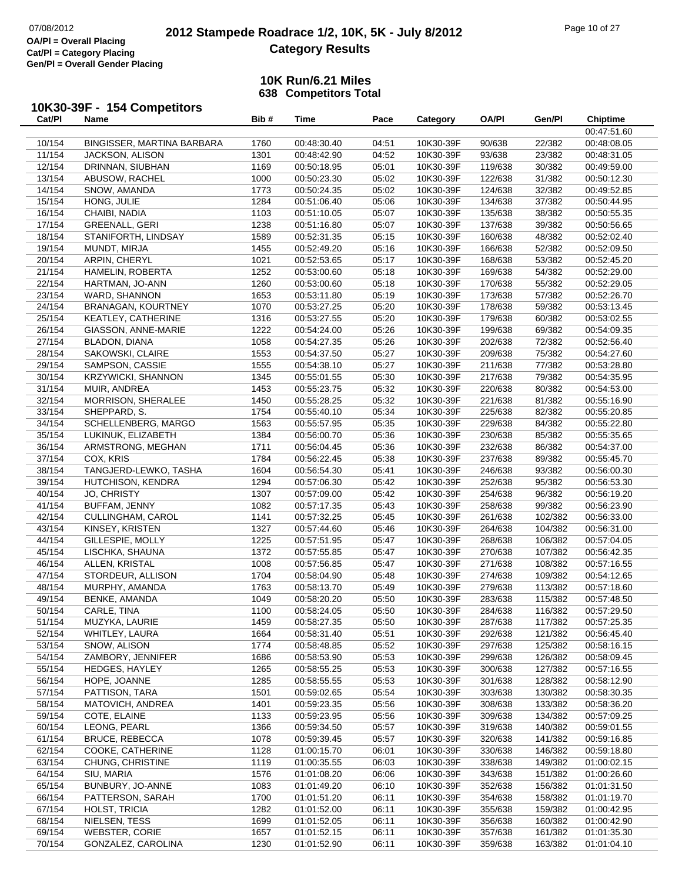### **2012 Stampede Roadrace 1/2, 10K, 5K - July 8/2012** 07/08/2012 Page 10 of 27 **Category Results**

| Cat/Pl | 10K30-39F - 154 Competitors<br>Name | Bib# | Time        | Pace  | Category  | <b>OA/PI</b> | Gen/Pl  | <b>Chiptime</b> |
|--------|-------------------------------------|------|-------------|-------|-----------|--------------|---------|-----------------|
|        |                                     |      |             |       |           |              |         | 00:47:51.60     |
| 10/154 | BINGISSER, MARTINA BARBARA          | 1760 | 00:48:30.40 | 04:51 | 10K30-39F | 90/638       | 22/382  | 00:48:08.05     |
| 11/154 | JACKSON, ALISON                     | 1301 | 00:48:42.90 | 04:52 | 10K30-39F | 93/638       | 23/382  | 00:48:31.05     |
| 12/154 | DRINNAN, SIUBHAN                    | 1169 | 00:50:18.95 | 05:01 | 10K30-39F | 119/638      | 30/382  | 00:49:59.00     |
| 13/154 | ABUSOW, RACHEL                      | 1000 | 00:50:23.30 | 05:02 | 10K30-39F | 122/638      | 31/382  | 00:50:12.30     |
| 14/154 | SNOW, AMANDA                        | 1773 | 00:50:24.35 | 05:02 | 10K30-39F | 124/638      | 32/382  | 00:49:52.85     |
| 15/154 | HONG, JULIE                         | 1284 | 00:51:06.40 | 05:06 | 10K30-39F | 134/638      | 37/382  | 00:50:44.95     |
| 16/154 | CHAIBI, NADIA                       | 1103 | 00:51:10.05 | 05:07 | 10K30-39F | 135/638      | 38/382  | 00:50:55.35     |
| 17/154 | GREENALL, GERI                      | 1238 | 00:51:16.80 | 05:07 | 10K30-39F | 137/638      | 39/382  | 00:50:56.65     |
| 18/154 | STANIFORTH, LINDSAY                 | 1589 | 00:52:31.35 | 05:15 | 10K30-39F | 160/638      | 48/382  | 00:52:02.40     |
| 19/154 | MUNDT, MIRJA                        | 1455 | 00:52:49.20 | 05:16 | 10K30-39F | 166/638      | 52/382  | 00:52:09.50     |
| 20/154 | ARPIN, CHERYL                       | 1021 | 00:52:53.65 | 05:17 | 10K30-39F | 168/638      | 53/382  | 00:52:45.20     |
| 21/154 | HAMELIN, ROBERTA                    | 1252 | 00:53:00.60 | 05:18 | 10K30-39F | 169/638      | 54/382  | 00:52:29.00     |
| 22/154 | HARTMAN, JO-ANN                     | 1260 | 00:53:00.60 | 05:18 | 10K30-39F | 170/638      | 55/382  | 00:52:29.05     |
| 23/154 | WARD, SHANNON                       | 1653 | 00:53:11.80 | 05:19 | 10K30-39F | 173/638      | 57/382  | 00:52:26.70     |
| 24/154 | <b>BRANAGAN, KOURTNEY</b>           | 1070 | 00:53:27.25 | 05:20 | 10K30-39F | 178/638      | 59/382  | 00:53:13.45     |
| 25/154 | KEATLEY, CATHERINE                  | 1316 | 00:53:27.55 | 05:20 | 10K30-39F | 179/638      | 60/382  | 00:53:02.55     |
| 26/154 | GIASSON, ANNE-MARIE                 | 1222 | 00:54:24.00 | 05:26 | 10K30-39F | 199/638      | 69/382  | 00:54:09.35     |
| 27/154 | BLADON, DIANA                       | 1058 | 00:54:27.35 | 05:26 | 10K30-39F | 202/638      | 72/382  | 00:52:56.40     |
| 28/154 | SAKOWSKI, CLAIRE                    | 1553 | 00:54:37.50 | 05:27 | 10K30-39F | 209/638      | 75/382  | 00:54:27.60     |
| 29/154 | SAMPSON, CASSIE                     | 1555 | 00:54:38.10 | 05:27 | 10K30-39F | 211/638      | 77/382  | 00:53:28.80     |
| 30/154 | <b>KRZYWICKI, SHANNON</b>           | 1345 | 00:55:01.55 | 05:30 | 10K30-39F | 217/638      | 79/382  | 00:54:35.95     |
| 31/154 | MUIR, ANDREA                        | 1453 | 00:55:23.75 | 05:32 | 10K30-39F | 220/638      | 80/382  | 00:54:53.00     |
| 32/154 | MORRISON, SHERALEE                  | 1450 | 00:55:28.25 | 05:32 | 10K30-39F | 221/638      | 81/382  | 00:55:16.90     |
| 33/154 | SHEPPARD, S.                        | 1754 | 00:55:40.10 | 05:34 | 10K30-39F | 225/638      | 82/382  | 00:55:20.85     |
| 34/154 | SCHELLENBERG, MARGO                 | 1563 | 00:55:57.95 | 05:35 | 10K30-39F | 229/638      | 84/382  | 00:55:22.80     |
| 35/154 | LUKINUK, ELIZABETH                  | 1384 | 00:56:00.70 | 05:36 | 10K30-39F | 230/638      | 85/382  | 00:55:35.65     |
| 36/154 | ARMSTRONG, MEGHAN                   | 1711 | 00:56:04.45 | 05:36 | 10K30-39F | 232/638      | 86/382  | 00:54:37.00     |
| 37/154 | COX, KRIS                           | 1784 | 00:56:22.45 | 05:38 | 10K30-39F | 237/638      | 89/382  | 00:55:45.70     |
| 38/154 | TANGJERD-LEWKO, TASHA               | 1604 | 00:56:54.30 | 05:41 | 10K30-39F | 246/638      | 93/382  | 00:56:00.30     |
| 39/154 | HUTCHISON, KENDRA                   | 1294 | 00:57:06.30 | 05:42 | 10K30-39F | 252/638      | 95/382  | 00:56:53.30     |
| 40/154 | JO, CHRISTY                         | 1307 | 00:57:09.00 | 05:42 | 10K30-39F | 254/638      | 96/382  | 00:56:19.20     |
| 41/154 | BUFFAM, JENNY                       | 1082 | 00:57:17.35 | 05:43 | 10K30-39F | 258/638      | 99/382  | 00:56:23.90     |
| 42/154 | CULLINGHAM, CAROL                   | 1141 | 00:57:32.25 | 05:45 | 10K30-39F | 261/638      | 102/382 | 00:56:33.00     |
| 43/154 | KINSEY, KRISTEN                     | 1327 | 00:57:44.60 | 05:46 | 10K30-39F | 264/638      | 104/382 | 00:56:31.00     |
| 44/154 | GILLESPIE, MOLLY                    | 1225 | 00:57:51.95 | 05:47 | 10K30-39F | 268/638      | 106/382 | 00:57:04.05     |
| 45/154 | LISCHKA, SHAUNA                     | 1372 | 00:57:55.85 | 05:47 | 10K30-39F | 270/638      | 107/382 | 00:56:42.35     |
| 46/154 | ALLEN, KRISTAL                      | 1008 | 00:57:56.85 | 05:47 | 10K30-39F | 271/638      | 108/382 | 00:57:16.55     |
| 47/154 | STORDEUR, ALLISON                   | 1704 | 00:58:04.90 | 05:48 | 10K30-39F | 274/638      | 109/382 | 00:54:12.65     |
| 48/154 | MURPHY, AMANDA                      | 1763 | 00:58:13.70 | 05:49 | 10K30-39F | 279/638      | 113/382 | 00:57:18.60     |
| 49/154 | BENKE, AMANDA                       | 1049 | 00:58:20.20 | 05:50 | 10K30-39F | 283/638      | 115/382 | 00:57:48.50     |
| 50/154 | CARLE, TINA                         | 1100 | 00:58:24.05 | 05:50 | 10K30-39F | 284/638      | 116/382 | 00:57:29.50     |
| 51/154 | MUZYKA, LAURIE                      | 1459 | 00:58:27.35 | 05:50 | 10K30-39F | 287/638      | 117/382 | 00:57:25.35     |
| 52/154 | WHITLEY, LAURA                      | 1664 | 00:58:31.40 | 05:51 | 10K30-39F | 292/638      | 121/382 | 00:56:45.40     |
| 53/154 | SNOW, ALISON                        | 1774 | 00:58:48.85 | 05:52 | 10K30-39F | 297/638      | 125/382 | 00:58:16.15     |
| 54/154 | ZAMBORY, JENNIFER                   | 1686 | 00:58:53.90 | 05:53 | 10K30-39F | 299/638      | 126/382 | 00:58:09.45     |
| 55/154 | <b>HEDGES, HAYLEY</b>               | 1265 | 00:58:55.25 | 05:53 | 10K30-39F | 300/638      | 127/382 | 00:57:16.55     |
| 56/154 | HOPE, JOANNE                        | 1285 | 00:58:55.55 | 05:53 | 10K30-39F | 301/638      | 128/382 | 00:58:12.90     |
| 57/154 | PATTISON, TARA                      | 1501 | 00:59:02.65 | 05:54 | 10K30-39F | 303/638      | 130/382 | 00:58:30.35     |
| 58/154 | MATOVICH, ANDREA                    | 1401 | 00:59:23.35 | 05:56 | 10K30-39F | 308/638      | 133/382 | 00:58:36.20     |
| 59/154 | COTE, ELAINE                        | 1133 | 00:59:23.95 | 05:56 | 10K30-39F | 309/638      | 134/382 | 00:57:09.25     |
| 60/154 | LEONG, PEARL                        | 1366 | 00:59:34.50 | 05:57 | 10K30-39F | 319/638      | 140/382 | 00:59:01.55     |
| 61/154 | BRUCE, REBECCA                      | 1078 | 00:59:39.45 | 05:57 | 10K30-39F | 320/638      | 141/382 | 00:59:16.85     |
| 62/154 | COOKE, CATHERINE                    | 1128 | 01:00:15.70 | 06:01 | 10K30-39F | 330/638      | 146/382 | 00:59:18.80     |
| 63/154 | CHUNG, CHRISTINE                    | 1119 | 01:00:35.55 | 06:03 | 10K30-39F | 338/638      | 149/382 | 01:00:02.15     |
| 64/154 | SIU, MARIA                          | 1576 | 01:01:08.20 | 06:06 | 10K30-39F | 343/638      | 151/382 | 01:00:26.60     |
| 65/154 | BUNBURY, JO-ANNE                    | 1083 | 01:01:49.20 | 06:10 | 10K30-39F | 352/638      | 156/382 | 01:01:31.50     |
| 66/154 | PATTERSON, SARAH                    | 1700 | 01:01:51.20 | 06:11 | 10K30-39F | 354/638      | 158/382 | 01:01:19.70     |
| 67/154 | HOLST, TRICIA                       | 1282 | 01:01:52.00 | 06:11 | 10K30-39F | 355/638      | 159/382 | 01:00:42.95     |
| 68/154 | NIELSEN, TESS                       | 1699 | 01:01:52.05 | 06:11 | 10K30-39F | 356/638      | 160/382 | 01:00:42.90     |
| 69/154 | <b>WEBSTER, CORIE</b>               | 1657 | 01:01:52.15 | 06:11 | 10K30-39F | 357/638      | 161/382 | 01:01:35.30     |
| 70/154 | GONZALEZ, CAROLINA                  | 1230 | 01:01:52.90 | 06:11 | 10K30-39F | 359/638      | 163/382 | 01:01:04.10     |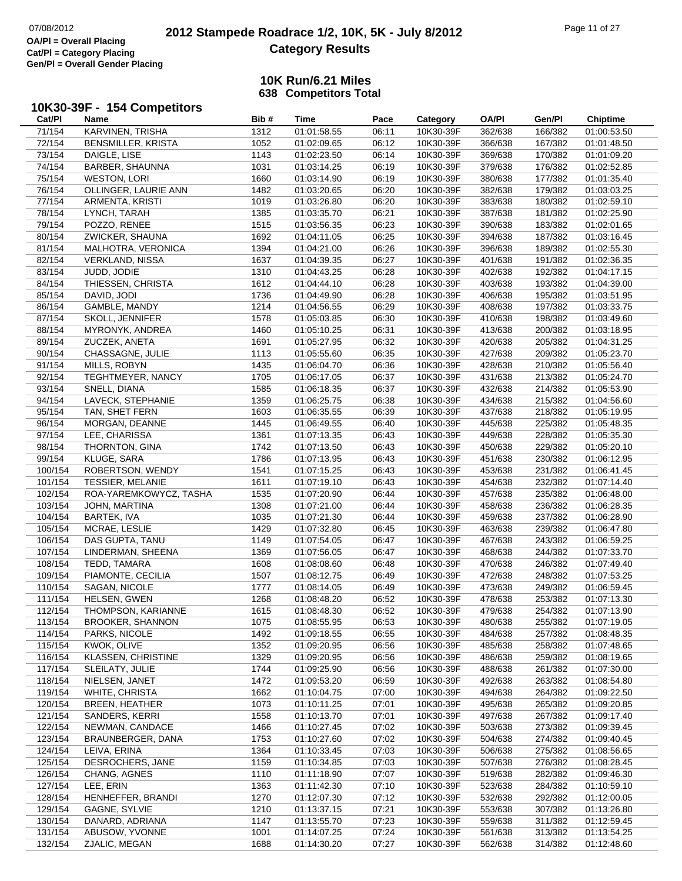# **2012 Stampede Roadrace 1/2, 10K, 5K - July 8/2012** 07/08/2012 Page 11 of 27 **Category Results**

|         | 10K30-39F - 154 Competitors |      |             |       |           |              |         |                 |
|---------|-----------------------------|------|-------------|-------|-----------|--------------|---------|-----------------|
| Cat/PI  | Name                        | Bib# | Time        | Pace  | Category  | <b>OA/PI</b> | Gen/Pl  | <b>Chiptime</b> |
| 71/154  | <b>KARVINEN, TRISHA</b>     | 1312 | 01:01:58.55 | 06:11 | 10K30-39F | 362/638      | 166/382 | 01:00:53.50     |
| 72/154  | <b>BENSMILLER, KRISTA</b>   | 1052 | 01:02:09.65 | 06:12 | 10K30-39F | 366/638      | 167/382 | 01:01:48.50     |
| 73/154  | DAIGLE, LISE                | 1143 | 01:02:23.50 | 06:14 | 10K30-39F | 369/638      | 170/382 | 01:01:09.20     |
| 74/154  | BARBER, SHAUNNA             | 1031 | 01:03:14.25 | 06:19 | 10K30-39F | 379/638      | 176/382 | 01:02:52.85     |
| 75/154  | <b>WESTON, LORI</b>         | 1660 | 01:03:14.90 | 06:19 | 10K30-39F | 380/638      | 177/382 | 01:01:35.40     |
| 76/154  | OLLINGER, LAURIE ANN        | 1482 | 01:03:20.65 | 06:20 | 10K30-39F | 382/638      | 179/382 | 01:03:03.25     |
| 77/154  | ARMENTA, KRISTI             | 1019 | 01:03:26.80 | 06:20 | 10K30-39F | 383/638      | 180/382 | 01:02:59.10     |
| 78/154  | LYNCH, TARAH                | 1385 | 01:03:35.70 | 06:21 | 10K30-39F | 387/638      | 181/382 | 01:02:25.90     |
| 79/154  | POZZO, RENEE                | 1515 | 01:03:56.35 | 06:23 | 10K30-39F | 390/638      | 183/382 | 01:02:01.65     |
| 80/154  | ZWICKER, SHAUNA             | 1692 | 01:04:11.05 | 06:25 | 10K30-39F | 394/638      | 187/382 | 01:03:16.45     |
| 81/154  | MALHOTRA, VERONICA          | 1394 | 01:04:21.00 | 06:26 | 10K30-39F | 396/638      | 189/382 | 01:02:55.30     |
| 82/154  | <b>VERKLAND, NISSA</b>      | 1637 | 01:04:39.35 | 06:27 | 10K30-39F | 401/638      | 191/382 | 01:02:36.35     |
| 83/154  | JUDD, JODIE                 | 1310 | 01:04:43.25 | 06:28 | 10K30-39F | 402/638      | 192/382 | 01:04:17.15     |
| 84/154  | THIESSEN, CHRISTA           | 1612 | 01:04:44.10 | 06:28 | 10K30-39F | 403/638      | 193/382 | 01:04:39.00     |
| 85/154  | DAVID, JODI                 | 1736 | 01:04:49.90 | 06:28 | 10K30-39F | 406/638      | 195/382 | 01:03:51.95     |
| 86/154  | GAMBLE, MANDY               | 1214 | 01:04:56.55 | 06:29 | 10K30-39F | 408/638      | 197/382 | 01:03:33.75     |
| 87/154  | SKOLL, JENNIFER             | 1578 | 01:05:03.85 | 06:30 | 10K30-39F | 410/638      | 198/382 | 01:03:49.60     |
| 88/154  | MYRONYK, ANDREA             | 1460 | 01:05:10.25 | 06:31 | 10K30-39F | 413/638      | 200/382 | 01:03:18.95     |
| 89/154  | ZUCZEK, ANETA               | 1691 | 01:05:27.95 | 06:32 | 10K30-39F | 420/638      | 205/382 | 01:04:31.25     |
| 90/154  | CHASSAGNE, JULIE            | 1113 | 01:05:55.60 | 06:35 | 10K30-39F | 427/638      | 209/382 | 01:05:23.70     |
| 91/154  | MILLS, ROBYN                | 1435 | 01:06:04.70 | 06:36 | 10K30-39F | 428/638      | 210/382 | 01:05:56.40     |
| 92/154  | TEGHTMEYER, NANCY           | 1705 | 01:06:17.05 | 06:37 | 10K30-39F | 431/638      | 213/382 | 01:05:24.70     |
| 93/154  | SNELL, DIANA                | 1585 | 01:06:18.35 | 06:37 | 10K30-39F | 432/638      | 214/382 | 01:05:53.90     |
| 94/154  | LAVECK, STEPHANIE           | 1359 | 01:06:25.75 | 06:38 | 10K30-39F | 434/638      | 215/382 | 01:04:56.60     |
| 95/154  | TAN, SHET FERN              | 1603 | 01:06:35.55 | 06:39 | 10K30-39F | 437/638      | 218/382 | 01:05:19.95     |
| 96/154  | MORGAN, DEANNE              | 1445 | 01:06:49.55 | 06:40 | 10K30-39F | 445/638      | 225/382 | 01:05:48.35     |
| 97/154  | LEE, CHARISSA               | 1361 | 01:07:13.35 | 06:43 | 10K30-39F | 449/638      | 228/382 | 01:05:35.30     |
| 98/154  | THORNTON, GINA              | 1742 | 01:07:13.50 | 06:43 | 10K30-39F | 450/638      | 229/382 | 01:05:20.10     |
| 99/154  | KLUGE, SARA                 | 1786 | 01:07:13.95 | 06:43 | 10K30-39F | 451/638      | 230/382 | 01:06:12.95     |
| 100/154 | ROBERTSON, WENDY            | 1541 | 01:07:15.25 | 06:43 | 10K30-39F | 453/638      | 231/382 | 01:06:41.45     |
| 101/154 | <b>TESSIER, MELANIE</b>     | 1611 | 01:07:19.10 | 06:43 | 10K30-39F | 454/638      | 232/382 | 01:07:14.40     |
| 102/154 | ROA-YAREMKOWYCZ, TASHA      | 1535 | 01:07:20.90 | 06:44 | 10K30-39F | 457/638      | 235/382 | 01:06:48.00     |
| 103/154 | JOHN, MARTINA               | 1308 | 01:07:21.00 | 06:44 | 10K30-39F | 458/638      | 236/382 | 01:06:28.35     |
| 104/154 | BARTEK, IVA                 | 1035 | 01:07:21.30 | 06:44 | 10K30-39F | 459/638      | 237/382 | 01:06:28.90     |
| 105/154 | MCRAE, LESLIE               | 1429 | 01:07:32.80 | 06:45 | 10K30-39F | 463/638      | 239/382 | 01:06:47.80     |
| 106/154 | DAS GUPTA, TANU             | 1149 | 01:07:54.05 | 06:47 | 10K30-39F | 467/638      | 243/382 | 01:06:59.25     |
| 107/154 | LINDERMAN, SHEENA           | 1369 | 01:07:56.05 | 06:47 | 10K30-39F | 468/638      | 244/382 | 01:07:33.70     |
| 108/154 | TEDD, TAMARA                | 1608 | 01:08:08.60 | 06:48 | 10K30-39F | 470/638      | 246/382 | 01:07:49.40     |
| 109/154 | PIAMONTE, CECILIA           | 1507 | 01:08:12.75 | 06:49 | 10K30-39F | 472/638      | 248/382 | 01:07:53.25     |
| 110/154 | SAGAN, NICOLE               | 1777 | 01:08:14.05 | 06:49 | 10K30-39F | 473/638      | 249/382 | 01:06:59.45     |
| 111/154 | HELSEN, GWEN                | 1268 | 01:08:48.20 | 06:52 | 10K30-39F | 478/638      | 253/382 | 01:07:13.30     |
| 112/154 | THOMPSON, KARIANNE          | 1615 | 01:08:48.30 | 06:52 | 10K30-39F | 479/638      | 254/382 | 01:07:13.90     |
| 113/154 | <b>BROOKER, SHANNON</b>     | 1075 | 01:08:55.95 | 06:53 | 10K30-39F | 480/638      | 255/382 | 01:07:19.05     |
| 114/154 | PARKS, NICOLE               | 1492 | 01:09:18.55 | 06:55 | 10K30-39F | 484/638      | 257/382 | 01:08:48.35     |
| 115/154 | KWOK, OLIVE                 | 1352 | 01:09:20.95 | 06:56 | 10K30-39F | 485/638      | 258/382 | 01:07:48.65     |
| 116/154 | <b>KLASSEN, CHRISTINE</b>   | 1329 | 01:09:20.95 | 06:56 | 10K30-39F | 486/638      | 259/382 | 01:08:19.65     |
| 117/154 | SLEILATY, JULIE             | 1744 | 01:09:25.90 | 06:56 | 10K30-39F | 488/638      | 261/382 | 01:07:30.00     |
| 118/154 | NIELSEN, JANET              | 1472 | 01:09:53.20 | 06:59 | 10K30-39F | 492/638      | 263/382 | 01:08:54.80     |
| 119/154 | WHITE, CHRISTA              | 1662 | 01:10:04.75 | 07:00 | 10K30-39F | 494/638      | 264/382 | 01:09:22.50     |
| 120/154 | <b>BREEN, HEATHER</b>       | 1073 | 01:10:11.25 | 07:01 | 10K30-39F | 495/638      | 265/382 | 01:09:20.85     |
| 121/154 | SANDERS, KERRI              | 1558 | 01:10:13.70 | 07:01 | 10K30-39F | 497/638      | 267/382 | 01:09:17.40     |
| 122/154 | NEWMAN, CANDACE             | 1466 | 01:10:27.45 | 07:02 | 10K30-39F | 503/638      | 273/382 | 01:09:39.45     |
| 123/154 | BRAUNBERGER, DANA           | 1753 | 01:10:27.60 | 07:02 | 10K30-39F | 504/638      | 274/382 | 01:09:40.45     |
| 124/154 | LEIVA, ERINA                | 1364 | 01:10:33.45 | 07:03 | 10K30-39F | 506/638      | 275/382 | 01:08:56.65     |
| 125/154 | DESROCHERS, JANE            | 1159 | 01:10:34.85 | 07:03 | 10K30-39F | 507/638      | 276/382 | 01:08:28.45     |
| 126/154 | CHANG, AGNES                | 1110 | 01:11:18.90 | 07:07 | 10K30-39F | 519/638      | 282/382 | 01:09:46.30     |
| 127/154 | LEE, ERIN                   | 1363 | 01:11:42.30 | 07:10 | 10K30-39F | 523/638      | 284/382 | 01:10:59.10     |
| 128/154 | HENHEFFER, BRANDI           | 1270 | 01:12:07.30 | 07:12 | 10K30-39F | 532/638      | 292/382 | 01:12:00.05     |
| 129/154 | GAGNE, SYLVIE               | 1210 | 01:13:37.15 | 07:21 | 10K30-39F | 553/638      | 307/382 | 01:13:26.80     |
| 130/154 | DANARD, ADRIANA             | 1147 | 01:13:55.70 | 07:23 | 10K30-39F | 559/638      | 311/382 | 01:12:59.45     |
| 131/154 | ABUSOW, YVONNE              | 1001 | 01:14:07.25 | 07:24 | 10K30-39F | 561/638      | 313/382 | 01:13:54.25     |
| 132/154 | ZJALIC, MEGAN               | 1688 | 01:14:30.20 | 07:27 | 10K30-39F | 562/638      | 314/382 | 01:12:48.60     |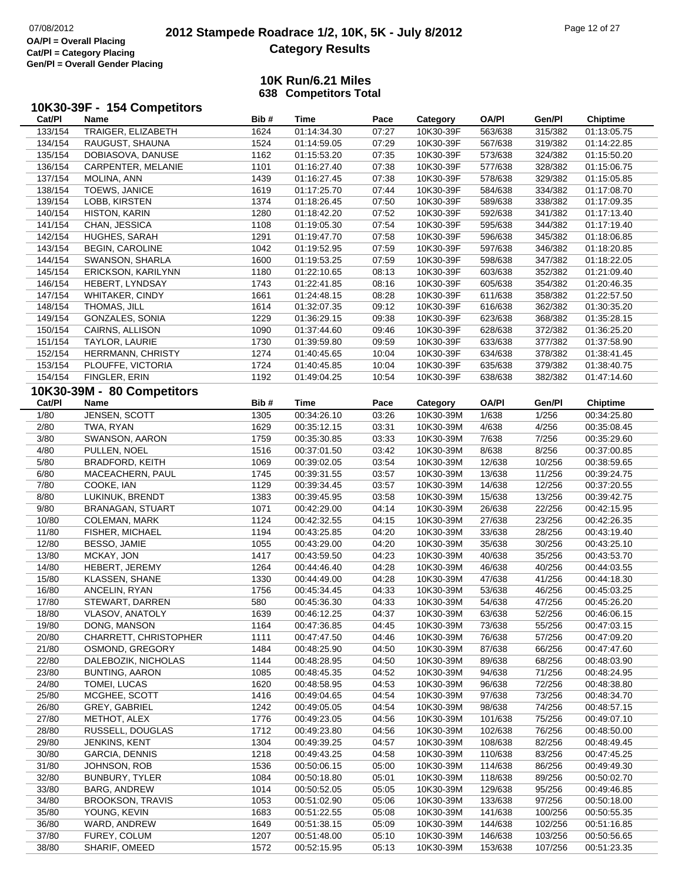# **2012 Stampede Roadrace 1/2, 10K, 5K - July 8/2012** 07/08/2012 Page 12 of 27 **Category Results**

|         | 10K30-39F - 154 Competitors  |        |             |       |           |              |         |                 |
|---------|------------------------------|--------|-------------|-------|-----------|--------------|---------|-----------------|
| Cat/PI  | Name                         | Bib #  | Time        | Pace  | Category  | <b>OA/PI</b> | Gen/Pl  | <b>Chiptime</b> |
| 133/154 | TRAIGER, ELIZABETH           | 1624   | 01:14:34.30 | 07:27 | 10K30-39F | 563/638      | 315/382 | 01:13:05.75     |
| 134/154 | RAUGUST, SHAUNA              | 1524   | 01:14:59.05 | 07:29 | 10K30-39F | 567/638      | 319/382 | 01:14:22.85     |
| 135/154 | DOBIASOVA, DANUSE            | $1162$ | 01:15:53.20 | 07:35 | 10K30-39F | 573/638      | 324/382 | 01:15:50.20     |
| 136/154 | CARPENTER, MELANIE           | 1101   | 01:16:27.40 | 07:38 | 10K30-39F | 577/638      | 328/382 | 01:15:06.75     |
| 137/154 | MOLINA, ANN                  | 1439   | 01:16:27.45 | 07:38 | 10K30-39F | 578/638      | 329/382 | 01:15:05.85     |
| 138/154 | TOEWS, JANICE                | 1619   | 01:17:25.70 | 07:44 | 10K30-39F | 584/638      | 334/382 | 01:17:08.70     |
| 139/154 | LOBB, KIRSTEN                | 1374   | 01:18:26.45 | 07:50 | 10K30-39F | 589/638      | 338/382 | 01:17:09.35     |
| 140/154 | <b>HISTON, KARIN</b>         | 1280   | 01:18:42.20 | 07:52 | 10K30-39F | 592/638      | 341/382 | 01:17:13.40     |
| 141/154 | CHAN, JESSICA                | 1108   | 01:19:05.30 | 07:54 | 10K30-39F | 595/638      | 344/382 | 01:17:19.40     |
| 142/154 | HUGHES, SARAH                | 1291   | 01:19:47.70 | 07:58 | 10K30-39F | 596/638      | 345/382 | 01:18:06.85     |
| 143/154 | <b>BEGIN, CAROLINE</b>       | 1042   | 01:19:52.95 | 07:59 | 10K30-39F | 597/638      | 346/382 | 01:18:20.85     |
| 144/154 | SWANSON, SHARLA              | 1600   | 01:19:53.25 | 07:59 | 10K30-39F | 598/638      | 347/382 | 01:18:22.05     |
| 145/154 | ERICKSON, KARILYNN           | 1180   | 01:22:10.65 | 08:13 | 10K30-39F | 603/638      | 352/382 | 01:21:09.40     |
| 146/154 | HEBERT, LYNDSAY              | 1743   | 01:22:41.85 | 08:16 | 10K30-39F | 605/638      | 354/382 | 01:20:46.35     |
| 147/154 | <b>WHITAKER, CINDY</b>       | 1661   | 01:24:48.15 | 08:28 | 10K30-39F | 611/638      | 358/382 | 01:22:57.50     |
| 148/154 | THOMAS, JILL                 | 1614   | 01:32:07.35 | 09:12 | 10K30-39F | 616/638      | 362/382 | 01:30:35.20     |
| 149/154 | GONZALES, SONIA              | 1229   | 01:36:29.15 | 09:38 | 10K30-39F | 623/638      | 368/382 | 01:35:28.15     |
| 150/154 | CAIRNS, ALLISON              | 1090   | 01:37:44.60 | 09:46 | 10K30-39F | 628/638      | 372/382 | 01:36:25.20     |
| 151/154 | TAYLOR, LAURIE               | 1730   | 01:39:59.80 | 09:59 | 10K30-39F | 633/638      | 377/382 | 01:37:58.90     |
| 152/154 | HERRMANN, CHRISTY            | 1274   | 01:40:45.65 | 10:04 | 10K30-39F | 634/638      | 378/382 | 01:38:41.45     |
| 153/154 | PLOUFFE, VICTORIA            | 1724   | 01:40:45.85 | 10:04 | 10K30-39F | 635/638      | 379/382 | 01:38:40.75     |
| 154/154 | FINGLER, ERIN                | 1192   | 01:49:04.25 | 10:54 | 10K30-39F | 638/638      | 382/382 | 01:47:14.60     |
|         | 10K30-39M - 80 Competitors   |        |             |       |           |              |         |                 |
| Cat/PI  | Name                         | Bib#   | Time        | Pace  | Category  | <b>OA/PI</b> | Gen/Pl  | <b>Chiptime</b> |
| 1/80    | JENSEN, SCOTT                | 1305   | 00:34:26.10 | 03:26 | 10K30-39M | 1/638        | 1/256   | 00:34:25.80     |
| 2/80    | TWA, RYAN                    | 1629   | 00:35:12.15 | 03:31 | 10K30-39M | 4/638        | 4/256   | 00:35:08.45     |
| 3/80    | SWANSON, AARON               | 1759   | 00:35:30.85 | 03:33 | 10K30-39M | 7/638        | 7/256   | 00:35:29.60     |
| 4/80    | PULLEN, NOEL                 | 1516   | 00:37:01.50 | 03:42 | 10K30-39M | 8/638        | 8/256   | 00:37:00.85     |
| 5/80    | <b>BRADFORD, KEITH</b>       | 1069   | 00:39:02.05 | 03:54 | 10K30-39M | 12/638       | 10/256  | 00:38:59.65     |
| 6/80    | MACEACHERN, PAUL             | 1745   | 00:39:31.55 | 03:57 | 10K30-39M | 13/638       | 11/256  | 00:39:24.75     |
| 7/80    | COOKE, IAN                   | 1129   | 00:39:34.45 | 03:57 | 10K30-39M | 14/638       | 12/256  | 00:37:20.55     |
| 8/80    | LUKINUK, BRENDT              | 1383   | 00:39:45.95 | 03:58 | 10K30-39M | 15/638       | 13/256  | 00:39:42.75     |
| 9/80    | <b>BRANAGAN, STUART</b>      | 1071   | 00:42:29.00 | 04:14 | 10K30-39M | 26/638       | 22/256  | 00:42:15.95     |
| 10/80   | COLEMAN, MARK                | 1124   | 00:42:32.55 | 04:15 | 10K30-39M | 27/638       | 23/256  | 00:42:26.35     |
| 11/80   | <b>FISHER, MICHAEL</b>       | 1194   | 00:43:25.85 | 04:20 | 10K30-39M | 33/638       | 28/256  | 00:43:19.40     |
| 12/80   | BESSO, JAMIE                 | 1055   | 00:43:29.00 | 04:20 | 10K30-39M | 35/638       | 30/256  | 00:43:25.10     |
| 13/80   | MCKAY, JON                   | 1417   | 00:43:59.50 | 04:23 | 10K30-39M | 40/638       | 35/256  | 00:43:53.70     |
| 14/80   | HEBERT, JEREMY               | 1264   | 00:44:46.40 | 04:28 | 10K30-39M | 46/638       | 40/256  | 00:44:03.55     |
| 15/80   | KLASSEN, SHANE               | 1330   | 00:44:49.00 | 04:28 | 10K30-39M | 47/638       | 41/256  | 00:44:18.30     |
| 16/80   | ANCELIN, RYAN                | 1756   | 00:45:34.45 | 04:33 | 10K30-39M | 53/638       | 46/256  | 00:45:03.25     |
| 17/80   | STEWART, DARREN              | 580    | 00:45:36.30 | 04:33 | 10K30-39M | 54/638       | 47/256  | 00:45:26.20     |
| 18/80   | VLASOV, ANATOLY              | 1639   | 00:46:12.25 | 04:37 | 10K30-39M | 63/638       | 52/256  | 00:46:06.15     |
| 19/80   | DONG, MANSON                 | 1164   | 00:47:36.85 | 04:45 | 10K30-39M | 73/638       | 55/256  | 00:47:03.15     |
| 20/80   | <b>CHARRETT, CHRISTOPHER</b> | 1111   | 00:47:47.50 | 04:46 | 10K30-39M | 76/638       | 57/256  | 00:47:09.20     |
| 21/80   | OSMOND, GREGORY              | 1484   | 00:48:25.90 | 04:50 | 10K30-39M | 87/638       | 66/256  | 00:47:47.60     |
| 22/80   | DALEBOZIK, NICHOLAS          | 1144   | 00:48:28.95 | 04:50 | 10K30-39M | 89/638       | 68/256  | 00:48:03.90     |
| 23/80   | <b>BUNTING, AARON</b>        | 1085   | 00:48:45.35 | 04:52 | 10K30-39M | 94/638       | 71/256  | 00:48:24.95     |
| 24/80   | TOMEI, LUCAS                 | 1620   | 00:48:58.95 | 04:53 | 10K30-39M | 96/638       | 72/256  | 00:48:38.80     |
| 25/80   | MCGHEE, SCOTT                | 1416   | 00:49:04.65 | 04:54 | 10K30-39M | 97/638       | 73/256  | 00:48:34.70     |
| 26/80   | GREY, GABRIEL                | 1242   | 00:49:05.05 | 04:54 | 10K30-39M | 98/638       | 74/256  | 00:48:57.15     |
| 27/80   | METHOT, ALEX                 | 1776   | 00:49:23.05 | 04:56 | 10K30-39M | 101/638      | 75/256  | 00:49:07.10     |
| 28/80   | RUSSELL, DOUGLAS             | 1712   | 00:49:23.80 | 04:56 | 10K30-39M | 102/638      | 76/256  | 00:48:50.00     |
| 29/80   | JENKINS, KENT                | 1304   | 00:49:39.25 | 04:57 | 10K30-39M | 108/638      | 82/256  | 00:48:49.45     |
| 30/80   | GARCIA, DENNIS               | 1218   | 00:49:43.25 | 04:58 | 10K30-39M | 110/638      | 83/256  | 00:47:45.25     |
| 31/80   | JOHNSON, ROB                 | 1536   | 00:50:06.15 | 05:00 | 10K30-39M | 114/638      | 86/256  | 00:49:49.30     |
| 32/80   | <b>BUNBURY, TYLER</b>        | 1084   | 00:50:18.80 | 05:01 | 10K30-39M | 118/638      | 89/256  | 00:50:02.70     |
| 33/80   | <b>BARG, ANDREW</b>          | 1014   | 00:50:52.05 | 05:05 | 10K30-39M | 129/638      | 95/256  | 00:49:46.85     |
| 34/80   | <b>BROOKSON, TRAVIS</b>      | 1053   | 00:51:02.90 | 05:06 | 10K30-39M | 133/638      | 97/256  | 00:50:18.00     |
| 35/80   | YOUNG, KEVIN                 | 1683   | 00:51:22.55 | 05:08 | 10K30-39M | 141/638      | 100/256 | 00:50:55.35     |
| 36/80   | WARD, ANDREW                 | 1649   | 00:51:38.15 | 05:09 | 10K30-39M | 144/638      | 102/256 | 00:51:16.85     |
| 37/80   | FUREY, COLUM                 | 1207   | 00:51:48.00 | 05:10 | 10K30-39M | 146/638      | 103/256 | 00:50:56.65     |
| 38/80   | SHARIF, OMEED                | 1572   | 00:52:15.95 | 05:13 | 10K30-39M | 153/638      | 107/256 | 00:51:23.35     |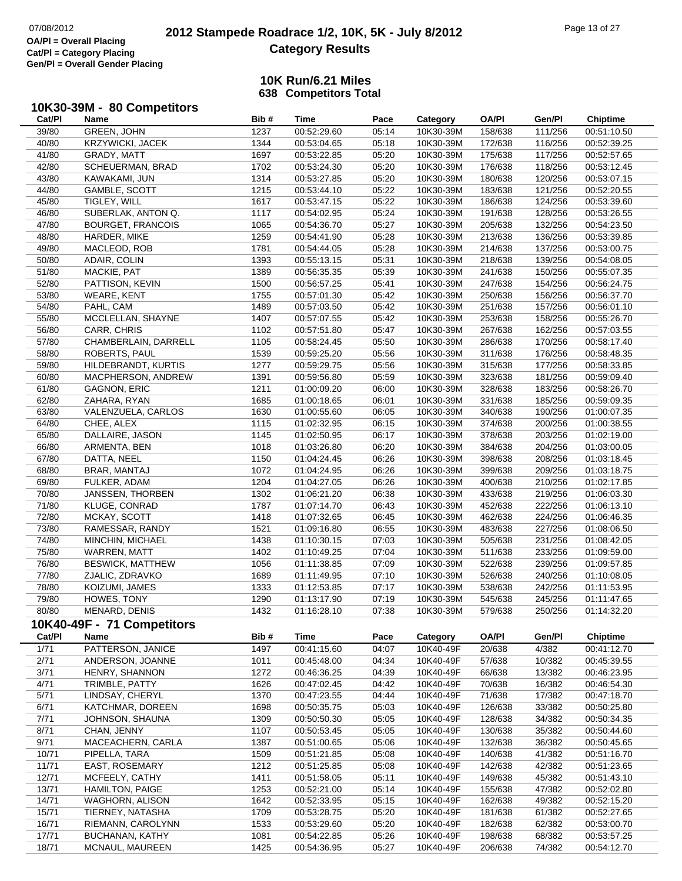# **2012 Stampede Roadrace 1/2, 10K, 5K - July 8/2012** 07/08/2012 Page 13 of 27 **Category Results**

| 10K30-39M - 80 Competitors |
|----------------------------|

| Cat/PI | Name                       | Bib# | Time        | Pace  | Category  | <b>OA/PI</b> | Gen/Pl  | <b>Chiptime</b> |
|--------|----------------------------|------|-------------|-------|-----------|--------------|---------|-----------------|
| 39/80  | GREEN, JOHN                | 1237 | 00:52:29.60 | 05:14 | 10K30-39M | 158/638      | 111/256 | 00:51:10.50     |
| 40/80  | <b>KRZYWICKI, JACEK</b>    | 1344 | 00:53:04.65 | 05:18 | 10K30-39M | 172/638      | 116/256 | 00:52:39.25     |
| 41/80  | GRADY, MATT                | 1697 | 00:53:22.85 | 05:20 | 10K30-39M | 175/638      | 117/256 | 00:52:57.65     |
| 42/80  | SCHEUERMAN, BRAD           | 1702 | 00:53:24.30 | 05:20 | 10K30-39M | 176/638      | 118/256 | 00:53:12.45     |
| 43/80  | KAWAKAMI, JUN              | 1314 | 00:53:27.85 | 05:20 | 10K30-39M | 180/638      | 120/256 | 00:53:07.15     |
| 44/80  | GAMBLE, SCOTT              | 1215 | 00:53:44.10 | 05:22 | 10K30-39M | 183/638      | 121/256 | 00:52:20.55     |
| 45/80  | TIGLEY, WILL               | 1617 | 00:53:47.15 | 05:22 | 10K30-39M | 186/638      | 124/256 | 00:53:39.60     |
| 46/80  | SUBERLAK, ANTON Q.         | 1117 | 00:54:02.95 | 05:24 | 10K30-39M | 191/638      | 128/256 | 00:53:26.55     |
| 47/80  | <b>BOURGET, FRANCOIS</b>   | 1065 | 00:54:36.70 | 05:27 | 10K30-39M | 205/638      | 132/256 | 00:54:23.50     |
| 48/80  | HARDER, MIKE               | 1259 | 00:54:41.90 | 05:28 | 10K30-39M | 213/638      | 136/256 | 00:53:39.85     |
| 49/80  | MACLEOD, ROB               | 1781 | 00:54:44.05 | 05:28 | 10K30-39M | 214/638      | 137/256 | 00:53:00.75     |
| 50/80  | ADAIR, COLIN               | 1393 | 00:55:13.15 | 05:31 | 10K30-39M | 218/638      | 139/256 | 00:54:08.05     |
| 51/80  | MACKIE, PAT                | 1389 | 00:56:35.35 | 05:39 | 10K30-39M | 241/638      | 150/256 | 00:55:07.35     |
| 52/80  | PATTISON, KEVIN            | 1500 | 00:56:57.25 | 05:41 | 10K30-39M | 247/638      | 154/256 | 00:56:24.75     |
| 53/80  | <b>WEARE, KENT</b>         | 1755 | 00:57:01.30 | 05:42 | 10K30-39M | 250/638      | 156/256 | 00:56:37.70     |
| 54/80  | PAHL, CAM                  | 1489 | 00:57:03.50 | 05:42 | 10K30-39M | 251/638      | 157/256 | 00:56:01.10     |
| 55/80  | MCCLELLAN, SHAYNE          | 1407 | 00:57:07.55 | 05:42 | 10K30-39M | 253/638      | 158/256 | 00:55:26.70     |
| 56/80  | CARR, CHRIS                | 1102 | 00:57:51.80 | 05:47 | 10K30-39M | 267/638      | 162/256 | 00:57:03.55     |
| 57/80  | CHAMBERLAIN, DARRELL       | 1105 | 00:58:24.45 | 05:50 | 10K30-39M | 286/638      | 170/256 | 00:58:17.40     |
| 58/80  | ROBERTS, PAUL              | 1539 | 00:59:25.20 | 05:56 | 10K30-39M | 311/638      | 176/256 | 00:58:48.35     |
| 59/80  | HILDEBRANDT, KURTIS        | 1277 | 00:59:29.75 | 05:56 | 10K30-39M | 315/638      | 177/256 | 00:58:33.85     |
| 60/80  | MACPHERSON, ANDREW         | 1391 | 00:59:56.80 | 05:59 | 10K30-39M | 323/638      | 181/256 | 00:59:09.40     |
| 61/80  | <b>GAGNON, ERIC</b>        | 1211 | 01:00:09.20 | 06:00 | 10K30-39M | 328/638      | 183/256 | 00:58:26.70     |
| 62/80  | ZAHARA, RYAN               | 1685 | 01:00:18.65 | 06:01 | 10K30-39M | 331/638      | 185/256 | 00:59:09.35     |
| 63/80  | VALENZUELA, CARLOS         | 1630 | 01:00:55.60 | 06:05 | 10K30-39M | 340/638      | 190/256 | 01:00:07.35     |
| 64/80  | CHEE, ALEX                 | 1115 | 01:02:32.95 | 06:15 | 10K30-39M | 374/638      | 200/256 | 01:00:38.55     |
| 65/80  | DALLAIRE, JASON            | 1145 | 01:02:50.95 | 06:17 | 10K30-39M | 378/638      | 203/256 | 01:02:19.00     |
| 66/80  | ARMENTA, BEN               | 1018 | 01:03:26.80 | 06:20 | 10K30-39M | 384/638      | 204/256 | 01:03:00.05     |
| 67/80  | DATTA, NEEL                | 1150 | 01:04:24.45 | 06:26 | 10K30-39M | 398/638      | 208/256 | 01:03:18.45     |
| 68/80  | BRAR, MANTAJ               | 1072 | 01:04:24.95 | 06:26 | 10K30-39M | 399/638      | 209/256 | 01:03:18.75     |
| 69/80  | FULKER, ADAM               | 1204 | 01:04:27.05 | 06:26 | 10K30-39M | 400/638      | 210/256 | 01:02:17.85     |
| 70/80  | JANSSEN, THORBEN           | 1302 | 01:06:21.20 | 06:38 | 10K30-39M | 433/638      | 219/256 | 01:06:03.30     |
| 71/80  | KLUGE, CONRAD              | 1787 | 01:07:14.70 | 06:43 | 10K30-39M | 452/638      | 222/256 | 01:06:13.10     |
| 72/80  | MCKAY, SCOTT               | 1418 | 01:07:32.65 | 06:45 | 10K30-39M | 462/638      | 224/256 | 01:06:46.35     |
| 73/80  | RAMESSAR, RANDY            | 1521 | 01:09:16.80 | 06:55 | 10K30-39M | 483/638      | 227/256 | 01:08:06.50     |
| 74/80  | MINCHIN, MICHAEL           | 1438 | 01:10:30.15 | 07:03 | 10K30-39M | 505/638      | 231/256 | 01:08:42.05     |
| 75/80  | <b>WARREN, MATT</b>        | 1402 | 01:10:49.25 | 07:04 | 10K30-39M | 511/638      | 233/256 | 01:09:59.00     |
| 76/80  | <b>BESWICK, MATTHEW</b>    | 1056 | 01:11:38.85 | 07:09 | 10K30-39M | 522/638      | 239/256 | 01:09:57.85     |
| 77/80  | ZJALIC, ZDRAVKO            | 1689 | 01:11:49.95 | 07:10 | 10K30-39M | 526/638      | 240/256 | 01:10:08.05     |
| 78/80  | KOIZUMI, JAMES             | 1333 | 01:12:53.85 | 07:17 | 10K30-39M | 538/638      | 242/256 | 01:11:53.95     |
| 79/80  | HOWES, TONY                | 1290 | 01:13:17.90 | 07:19 | 10K30-39M | 545/638      | 245/256 | 01:11:47.65     |
| 80/80  | MENARD, DENIS              | 1432 | 01:16:28.10 | 07:38 | 10K30-39M | 579/638      | 250/256 | 01:14:32.20     |
|        |                            |      |             |       |           |              |         |                 |
|        | 10K40-49F - 71 Competitors |      |             |       |           |              |         |                 |
| Cat/PI | Name                       | Bib# | <b>Time</b> | Pace  | Category  | <b>OA/PI</b> | Gen/Pl  | Chiptime        |
| 1/71   | PATTERSON, JANICE          | 1497 | 00:41:15.60 | 04:07 | 10K40-49F | 20/638       | 4/382   | 00:41:12.70     |
| 2/71   | ANDERSON, JOANNE           | 1011 | 00:45:48.00 | 04:34 | 10K40-49F | 57/638       | 10/382  | 00:45:39.55     |
| 3/71   | HENRY, SHANNON             | 1272 | 00:46:36.25 | 04:39 | 10K40-49F | 66/638       | 13/382  | 00:46:23.95     |
| 4/71   | TRIMBLE, PATTY             | 1626 | 00:47:02.45 | 04:42 | 10K40-49F | 70/638       | 16/382  | 00:46:54.30     |
| 5/71   | LINDSAY, CHERYL            | 1370 | 00:47:23.55 | 04:44 | 10K40-49F | 71/638       | 17/382  | 00:47:18.70     |
| 6/71   | KATCHMAR, DOREEN           | 1698 | 00:50:35.75 | 05:03 | 10K40-49F | 126/638      | 33/382  | 00:50:25.80     |
| 7/71   | JOHNSON, SHAUNA            | 1309 | 00:50:50.30 | 05:05 | 10K40-49F | 128/638      | 34/382  | 00:50:34.35     |
| 8/71   | CHAN, JENNY                | 1107 | 00:50:53.45 | 05:05 | 10K40-49F | 130/638      | 35/382  | 00:50:44.60     |
| 9/71   | MACEACHERN, CARLA          | 1387 | 00:51:00.65 | 05:06 | 10K40-49F | 132/638      | 36/382  | 00:50:45.65     |
| 10/71  | PIPELLA, TARA              | 1509 | 00:51:21.85 | 05:08 | 10K40-49F | 140/638      | 41/382  | 00:51:16.70     |
| 11/71  | <b>EAST, ROSEMARY</b>      | 1212 | 00:51:25.85 | 05:08 | 10K40-49F | 142/638      | 42/382  | 00:51:23.65     |
| 12/71  | MCFEELY, CATHY             | 1411 | 00:51:58.05 | 05:11 | 10K40-49F | 149/638      | 45/382  | 00:51:43.10     |
| 13/71  | <b>HAMILTON, PAIGE</b>     | 1253 | 00:52:21.00 | 05:14 | 10K40-49F | 155/638      | 47/382  | 00:52:02.80     |
| 14/71  | <b>WAGHORN, ALISON</b>     | 1642 | 00:52:33.95 | 05:15 | 10K40-49F | 162/638      | 49/382  | 00:52:15.20     |
| 15/71  | TIERNEY, NATASHA           | 1709 | 00:53:28.75 | 05:20 | 10K40-49F | 181/638      | 61/382  | 00:52:27.65     |
| 16/71  | RIEMANN, CAROLYNN          | 1533 | 00:53:29.60 | 05:20 | 10K40-49F | 182/638      | 62/382  | 00:53:00.70     |
| 17/71  | <b>BUCHANAN, KATHY</b>     | 1081 | 00:54:22.85 | 05:26 | 10K40-49F | 198/638      | 68/382  | 00:53:57.25     |
| 18/71  | MCNAUL, MAUREEN            | 1425 | 00:54:36.95 | 05:27 | 10K40-49F | 206/638      | 74/382  | 00:54:12.70     |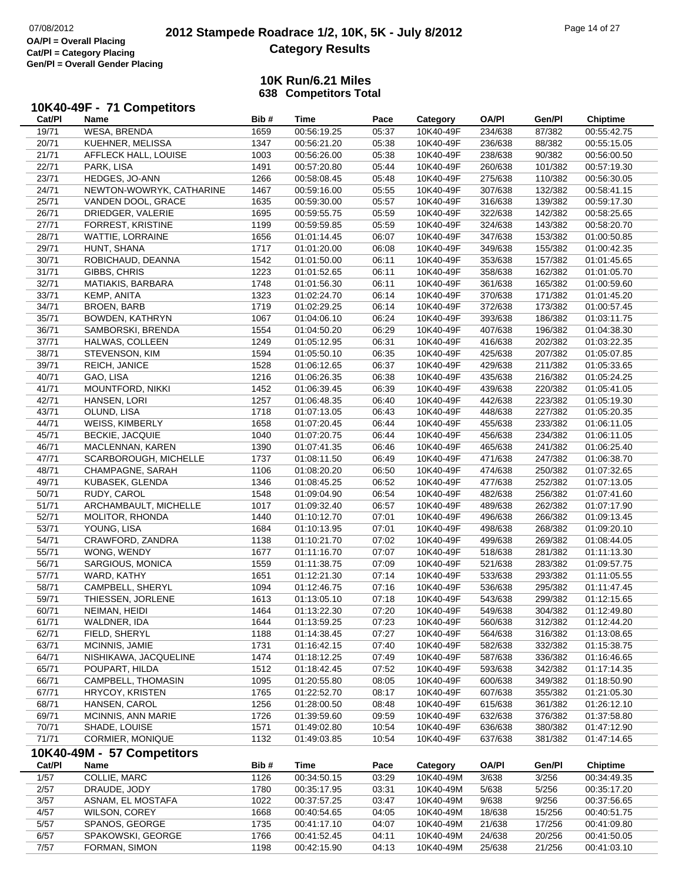# **2012 Stampede Roadrace 1/2, 10K, 5K - July 8/2012** 07/08/2012 Page 14 of 27 **Category Results**

|        | 10K40-49F - 71 Competitors |      |                            |       |           |              |         |                 |
|--------|----------------------------|------|----------------------------|-------|-----------|--------------|---------|-----------------|
| Cat/PI | Name                       | Bib# | Time                       | Pace  | Category  | <b>OA/PI</b> | Gen/Pl  | <b>Chiptime</b> |
| 19/71  | <b>WESA, BRENDA</b>        | 1659 | 00:56:19.25                | 05:37 | 10K40-49F | 234/638      | 87/382  | 00:55:42.75     |
| 20/71  | KUEHNER, MELISSA           | 1347 | 00:56:21.20                | 05:38 | 10K40-49F | 236/638      | 88/382  | 00:55:15.05     |
| 21/71  | AFFLECK HALL, LOUISE       | 1003 | 00:56:26.00                | 05:38 | 10K40-49F | 238/638      | 90/382  | 00:56:00.50     |
| 22/71  | PARK, LISA                 | 1491 | 00:57:20.80                | 05:44 | 10K40-49F | 260/638      | 101/382 | 00:57:19.30     |
| 23/71  | HEDGES, JO-ANN             | 1266 | 00:58:08.45                | 05:48 | 10K40-49F | 275/638      | 110/382 | 00:56:30.05     |
| 24/71  | NEWTON-WOWRYK, CATHARINE   | 1467 | 00:59:16.00                | 05:55 | 10K40-49F | 307/638      | 132/382 | 00:58:41.15     |
| 25/71  | VANDEN DOOL, GRACE         | 1635 | 00:59:30.00                | 05:57 | 10K40-49F | 316/638      | 139/382 | 00:59:17.30     |
| 26/71  | DRIEDGER, VALERIE          | 1695 | 00:59:55.75                | 05:59 | 10K40-49F | 322/638      | 142/382 | 00:58:25.65     |
| 27/71  | FORREST, KRISTINE          | 1199 | 00:59:59.85                | 05:59 | 10K40-49F | 324/638      | 143/382 | 00:58:20.70     |
| 28/71  | WATTIE, LORRAINE           | 1656 | 01:01:14.45                | 06:07 | 10K40-49F | 347/638      | 153/382 | 01:00:50.85     |
| 29/71  | HUNT, SHANA                | 1717 | 01:01:20.00                | 06:08 | 10K40-49F | 349/638      | 155/382 | 01:00:42.35     |
| 30/71  | ROBICHAUD, DEANNA          | 1542 | 01:01:50.00                | 06:11 | 10K40-49F | 353/638      | 157/382 | 01:01:45.65     |
| 31/71  | GIBBS, CHRIS               | 1223 | 01:01:52.65                | 06:11 | 10K40-49F | 358/638      | 162/382 | 01:01:05.70     |
| 32/71  | MATIAKIS, BARBARA          | 1748 | 01:01:56.30                | 06:11 | 10K40-49F | 361/638      | 165/382 | 01:00:59.60     |
| 33/71  | KEMP, ANITA                | 1323 | 01:02:24.70                | 06:14 | 10K40-49F | 370/638      | 171/382 | 01:01:45.20     |
| 34/71  | <b>BROEN, BARB</b>         | 1719 | 01:02:29.25                | 06:14 | 10K40-49F | 372/638      | 173/382 | 01:00:57.45     |
| 35/71  | BOWDEN, KATHRYN            | 1067 | 01:04:06.10                | 06:24 | 10K40-49F | 393/638      | 186/382 | 01:03:11.75     |
| 36/71  | SAMBORSKI, BRENDA          | 1554 | 01:04:50.20                | 06:29 | 10K40-49F | 407/638      | 196/382 | 01:04:38.30     |
|        |                            |      | 01:05:12.95                |       |           |              |         |                 |
| 37/71  | HALWAS, COLLEEN            | 1249 |                            | 06:31 | 10K40-49F | 416/638      | 202/382 | 01:03:22.35     |
| 38/71  | STEVENSON, KIM             | 1594 | 01:05:50.10                | 06:35 | 10K40-49F | 425/638      | 207/382 | 01:05:07.85     |
| 39/71  | <b>REICH, JANICE</b>       | 1528 | 01:06:12.65                | 06:37 | 10K40-49F | 429/638      | 211/382 | 01:05:33.65     |
| 40/71  | GAO, LISA                  | 1216 | 01:06:26.35                | 06:38 | 10K40-49F | 435/638      | 216/382 | 01:05:24.25     |
| 41/71  | MOUNTFORD, NIKKI           | 1452 | 01:06:39.45                | 06:39 | 10K40-49F | 439/638      | 220/382 | 01:05:41.05     |
| 42/71  | HANSEN, LORI               | 1257 | 01:06:48.35                | 06:40 | 10K40-49F | 442/638      | 223/382 | 01:05:19.30     |
| 43/71  | OLUND, LISA                | 1718 | 01:07:13.05                | 06:43 | 10K40-49F | 448/638      | 227/382 | 01:05:20.35     |
| 44/71  | <b>WEISS, KIMBERLY</b>     | 1658 | 01:07:20.45                | 06:44 | 10K40-49F | 455/638      | 233/382 | 01:06:11.05     |
| 45/71  | <b>BECKIE, JACQUIE</b>     | 1040 | 01:07:20.75                | 06:44 | 10K40-49F | 456/638      | 234/382 | 01:06:11.05     |
| 46/71  | MACLENNAN, KAREN           | 1390 | 01:07:41.35                | 06:46 | 10K40-49F | 465/638      | 241/382 | 01:06:25.40     |
| 47/71  | SCARBOROUGH, MICHELLE      | 1737 | 01:08:11.50                | 06:49 | 10K40-49F | 471/638      | 247/382 | 01:06:38.70     |
| 48/71  | CHAMPAGNE, SARAH           | 1106 | 01:08:20.20                | 06:50 | 10K40-49F | 474/638      | 250/382 | 01:07:32.65     |
| 49/71  | KUBASEK, GLENDA            | 1346 | 01:08:45.25                | 06:52 | 10K40-49F | 477/638      | 252/382 | 01:07:13.05     |
| 50/71  | RUDY, CAROL                | 1548 | 01:09:04.90                | 06:54 | 10K40-49F | 482/638      | 256/382 | 01:07:41.60     |
| 51/71  | ARCHAMBAULT, MICHELLE      | 1017 | 01:09:32.40                | 06:57 | 10K40-49F | 489/638      | 262/382 | 01:07:17.90     |
| 52/71  | MOLITOR, RHONDA            | 1440 | 01:10:12.70                | 07:01 | 10K40-49F | 496/638      | 266/382 | 01:09:13.45     |
| 53/71  | YOUNG, LISA                | 1684 | 01:10:13.95                | 07:01 | 10K40-49F | 498/638      | 268/382 | 01:09:20.10     |
| 54/71  | CRAWFORD, ZANDRA           | 1138 | 01:10:21.70                | 07:02 | 10K40-49F | 499/638      | 269/382 | 01:08:44.05     |
| 55/71  | WONG, WENDY                | 1677 | 01:11:16.70                | 07:07 | 10K40-49F | 518/638      | 281/382 | 01:11:13.30     |
| 56/71  | SARGIOUS, MONICA           | 1559 | 01:11:38.75                | 07:09 | 10K40-49F | 521/638      | 283/382 | 01:09:57.75     |
| 57/71  | WARD, KATHY                | 1651 | 01:12:21.30                | 07:14 | 10K40-49F | 533/638      | 293/382 | 01:11:05.55     |
| 58/71  | CAMPBELL, SHERYL           | 1094 | 01:12:46.75                | 07:16 | 10K40-49F | 536/638      | 295/382 | 01:11:47.45     |
| 59/71  | THIESSEN, JORLENE          | 1613 | 01:13:05.10                | 07:18 | 10K40-49F | 543/638      | 299/382 | 01:12:15.65     |
| 60/71  | NEIMAN, HEIDI              | 1464 | 01:13:22.30                | 07:20 | 10K40-49F | 549/638      | 304/382 | 01:12:49.80     |
| 61/71  | WALDNER, IDA               | 1644 | 01:13:59.25                | 07:23 | 10K40-49F | 560/638      | 312/382 | 01:12:44.20     |
| 62/71  | FIELD, SHERYL              | 1188 | 01:14:38.45                | 07:27 | 10K40-49F | 564/638      | 316/382 | 01:13:08.65     |
| 63/71  | MCINNIS, JAMIE             | 1731 |                            | 07:40 | 10K40-49F | 582/638      | 332/382 | 01:15:38.75     |
| 64/71  | NISHIKAWA, JACQUELINE      | 1474 | 01:16:42.15<br>01:18:12.25 | 07:49 | 10K40-49F | 587/638      | 336/382 |                 |
|        |                            |      |                            |       |           |              |         | 01:16:46.65     |
| 65/71  | POUPART, HILDA             | 1512 | 01:18:42.45                | 07:52 | 10K40-49F | 593/638      | 342/382 | 01:17:14.35     |
| 66/71  | CAMPBELL, THOMASIN         | 1095 | 01:20:55.80                | 08:05 | 10K40-49F | 600/638      | 349/382 | 01:18:50.90     |
| 67/71  | <b>HRYCOY, KRISTEN</b>     | 1765 | 01:22:52.70                | 08:17 | 10K40-49F | 607/638      | 355/382 | 01:21:05.30     |
| 68/71  | HANSEN, CAROL              | 1256 | 01:28:00.50                | 08:48 | 10K40-49F | 615/638      | 361/382 | 01:26:12.10     |
| 69/71  | MCINNIS, ANN MARIE         | 1726 | 01:39:59.60                | 09:59 | 10K40-49F | 632/638      | 376/382 | 01:37:58.80     |
| 70/71  | SHADE, LOUISE              | 1571 | 01:49:02.80                | 10:54 | 10K40-49F | 636/638      | 380/382 | 01:47:12.90     |
| 71/71  | CORMIER, MONIQUE           | 1132 | 01:49:03.85                | 10:54 | 10K40-49F | 637/638      | 381/382 | 01:47:14.65     |
|        | 10K40-49M - 57 Competitors |      |                            |       |           |              |         |                 |
| Cat/PI | Name                       | Bib# | <b>Time</b>                | Pace  | Category  | <b>OA/PI</b> | Gen/Pl  | <b>Chiptime</b> |
| 1/57   | COLLIE, MARC               | 1126 | 00:34:50.15                | 03:29 | 10K40-49M | 3/638        | 3/256   | 00:34:49.35     |
| 2/57   | DRAUDE, JODY               | 1780 | 00:35:17.95                | 03:31 | 10K40-49M | 5/638        | 5/256   | 00:35:17.20     |
| 3/57   | ASNAM, EL MOSTAFA          | 1022 | 00:37:57.25                | 03:47 | 10K40-49M | 9/638        | 9/256   | 00:37:56.65     |
| 4/57   | <b>WILSON, COREY</b>       | 1668 | 00:40:54.65                | 04:05 | 10K40-49M | 18/638       | 15/256  | 00:40:51.75     |
| 5/57   | SPANOS, GEORGE             | 1735 | 00:41:17.10                | 04:07 | 10K40-49M | 21/638       | 17/256  | 00:41:09.80     |
| 6/57   | SPAKOWSKI, GEORGE          | 1766 | 00:41:52.45                | 04:11 | 10K40-49M | 24/638       | 20/256  | 00:41:50.05     |
| 7/57   | FORMAN, SIMON              | 1198 | 00:42:15.90                | 04:13 | 10K40-49M | 25/638       | 21/256  | 00:41:03.10     |
|        |                            |      |                            |       |           |              |         |                 |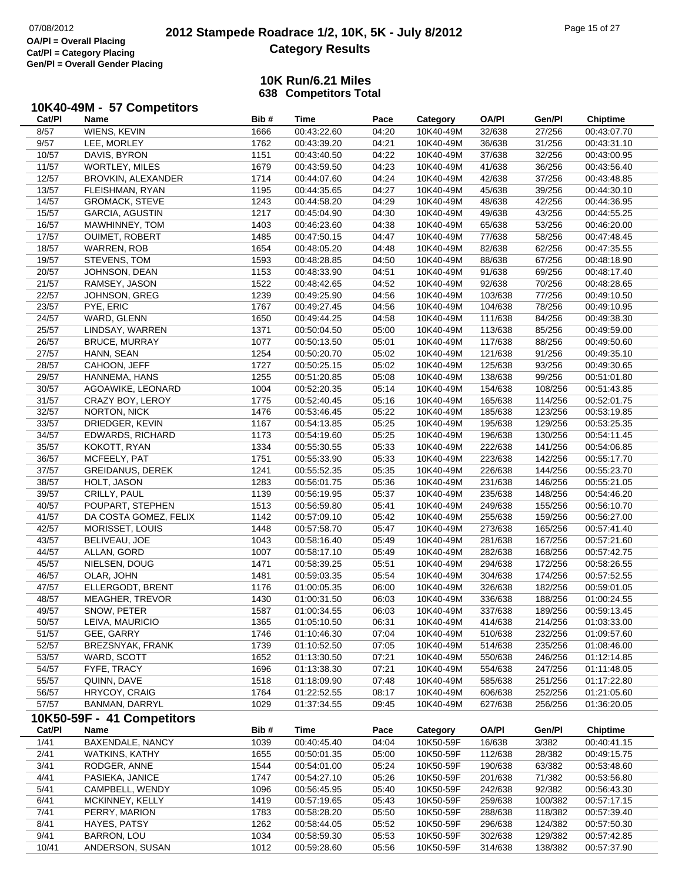# **2012 Stampede Roadrace 1/2, 10K, 5K - July 8/2012** 07/08/2012 Page 15 of 27 **Category Results**

### **10K Run/6.21 Miles638 Competitors Total**

### **10K40-49M - 57 Competitors**

| Cat/PI | Name                       | Bib# | <b>Time</b> | Pace  | Category  | <b>OA/PI</b> | Gen/Pl  | <b>Chiptime</b> |
|--------|----------------------------|------|-------------|-------|-----------|--------------|---------|-----------------|
| 8/57   | WIENS, KEVIN               | 1666 | 00:43:22.60 | 04:20 | 10K40-49M | 32/638       | 27/256  | 00:43:07.70     |
| 9/57   | LEE, MORLEY                | 1762 | 00:43:39.20 | 04:21 | 10K40-49M | 36/638       | 31/256  | 00:43:31.10     |
| 10/57  | DAVIS, BYRON               | 1151 | 00:43:40.50 | 04:22 | 10K40-49M | 37/638       | 32/256  | 00:43:00.95     |
| 11/57  | WORTLEY, MILES             | 1679 | 00:43:59.50 | 04:23 | 10K40-49M | 41/638       | 36/256  | 00:43:56.40     |
| 12/57  | BROVKIN, ALEXANDER         | 1714 | 00:44:07.60 | 04:24 | 10K40-49M | 42/638       | 37/256  | 00:43:48.85     |
| 13/57  | FLEISHMAN, RYAN            | 1195 | 00:44:35.65 | 04:27 | 10K40-49M | 45/638       | 39/256  | 00:44:30.10     |
| 14/57  | <b>GROMACK, STEVE</b>      | 1243 | 00:44:58.20 | 04:29 | 10K40-49M | 48/638       | 42/256  | 00:44:36.95     |
| 15/57  | <b>GARCIA, AGUSTIN</b>     | 1217 | 00:45:04.90 | 04:30 | 10K40-49M | 49/638       | 43/256  | 00:44:55.25     |
| 16/57  | MAWHINNEY, TOM             | 1403 | 00:46:23.60 | 04:38 | 10K40-49M | 65/638       | 53/256  | 00:46:20.00     |
| 17/57  | <b>OUIMET, ROBERT</b>      | 1485 | 00:47:50.15 | 04:47 | 10K40-49M | 77/638       | 58/256  | 00:47:48.45     |
| 18/57  | <b>WARREN, ROB</b>         | 1654 | 00:48:05.20 | 04:48 | 10K40-49M | 82/638       | 62/256  | 00:47:35.55     |
| 19/57  | STEVENS, TOM               | 1593 | 00:48:28.85 | 04:50 | 10K40-49M | 88/638       | 67/256  | 00:48:18.90     |
| 20/57  | JOHNSON, DEAN              | 1153 | 00:48:33.90 | 04:51 | 10K40-49M | 91/638       | 69/256  | 00:48:17.40     |
| 21/57  | RAMSEY, JASON              | 1522 | 00:48:42.65 | 04:52 | 10K40-49M | 92/638       | 70/256  | 00:48:28.65     |
| 22/57  | JOHNSON, GREG              | 1239 | 00:49:25.90 | 04:56 | 10K40-49M | 103/638      | 77/256  | 00:49:10.50     |
| 23/57  | PYE, ERIC                  | 1767 | 00:49:27.45 | 04:56 | 10K40-49M | 104/638      | 78/256  | 00:49:10.95     |
| 24/57  | WARD, GLENN                | 1650 | 00:49:44.25 | 04:58 | 10K40-49M | 111/638      | 84/256  | 00:49:38.30     |
| 25/57  | LINDSAY, WARREN            | 1371 | 00:50:04.50 | 05:00 | 10K40-49M | 113/638      | 85/256  | 00:49:59.00     |
| 26/57  | <b>BRUCE, MURRAY</b>       | 1077 | 00:50:13.50 | 05:01 | 10K40-49M | 117/638      | 88/256  | 00:49:50.60     |
| 27/57  | HANN, SEAN                 | 1254 | 00:50:20.70 | 05:02 | 10K40-49M | 121/638      | 91/256  | 00:49:35.10     |
| 28/57  | CAHOON, JEFF               | 1727 | 00:50:25.15 | 05:02 | 10K40-49M | 125/638      | 93/256  | 00:49:30.65     |
| 29/57  | HANNEMA, HANS              | 1255 | 00:51:20.85 | 05:08 | 10K40-49M | 138/638      | 99/256  | 00:51:01.80     |
| 30/57  | AGOAWIKE, LEONARD          | 1004 | 00:52:20.35 | 05:14 | 10K40-49M | 154/638      | 108/256 | 00:51:43.85     |
| 31/57  | CRAZY BOY, LEROY           | 1775 | 00:52:40.45 | 05:16 | 10K40-49M | 165/638      | 114/256 | 00:52:01.75     |
| 32/57  | NORTON, NICK               | 1476 | 00:53:46.45 | 05:22 | 10K40-49M | 185/638      | 123/256 | 00:53:19.85     |
| 33/57  | DRIEDGER, KEVIN            | 1167 | 00:54:13.85 | 05:25 | 10K40-49M | 195/638      | 129/256 | 00:53:25.35     |
| 34/57  | <b>EDWARDS, RICHARD</b>    | 1173 | 00:54:19.60 | 05:25 | 10K40-49M | 196/638      | 130/256 | 00:54:11.45     |
| 35/57  | KOKOTT, RYAN               | 1334 | 00:55:30.55 | 05:33 | 10K40-49M | 222/638      | 141/256 | 00:54:06.85     |
| 36/57  | MCFEELY, PAT               | 1751 | 00:55:33.90 | 05:33 | 10K40-49M | 223/638      | 142/256 | 00:55:17.70     |
| 37/57  | <b>GREIDANUS, DEREK</b>    | 1241 | 00:55:52.35 | 05:35 | 10K40-49M | 226/638      | 144/256 | 00:55:23.70     |
| 38/57  | HOLT, JASON                | 1283 | 00:56:01.75 | 05:36 | 10K40-49M | 231/638      | 146/256 | 00:55:21.05     |
| 39/57  | CRILLY, PAUL               | 1139 | 00:56:19.95 | 05:37 | 10K40-49M | 235/638      | 148/256 | 00:54:46.20     |
| 40/57  | POUPART, STEPHEN           | 1513 | 00:56:59.80 | 05:41 | 10K40-49M | 249/638      | 155/256 | 00:56:10.70     |
| 41/57  | DA COSTA GOMEZ, FELIX      | 1142 | 00:57:09.10 | 05:42 | 10K40-49M | 255/638      | 159/256 | 00:56:27.00     |
| 42/57  | MORISSET, LOUIS            | 1448 | 00:57:58.70 | 05:47 | 10K40-49M | 273/638      | 165/256 | 00:57:41.40     |
| 43/57  | BELIVEAU, JOE              | 1043 | 00:58:16.40 | 05:49 | 10K40-49M | 281/638      | 167/256 | 00:57:21.60     |
| 44/57  | ALLAN, GORD                | 1007 | 00:58:17.10 | 05:49 | 10K40-49M | 282/638      | 168/256 | 00:57:42.75     |
| 45/57  | NIELSEN, DOUG              | 1471 | 00:58:39.25 | 05:51 | 10K40-49M | 294/638      | 172/256 | 00:58:26.55     |
| 46/57  | OLAR, JOHN                 | 1481 | 00:59:03.35 | 05:54 | 10K40-49M | 304/638      | 174/256 | 00:57:52.55     |
| 47/57  | ELLERGODT, BRENT           | 1176 | 01:00:05.35 | 06:00 | 10K40-49M | 326/638      | 182/256 | 00:59:01.05     |
| 48/57  | MEAGHER, TREVOR            | 1430 | 01:00:31.50 | 06:03 | 10K40-49M | 336/638      | 188/256 | 01:00:24.55     |
| 49/57  | SNOW, PETER                | 1587 | 01:00:34.55 | 06:03 | 10K40-49M | 337/638      | 189/256 | 00:59:13.45     |
| 50/57  | LEIVA, MAURICIO            | 1365 | 01:05:10.50 | 06:31 | 10K40-49M | 414/638      | 214/256 | 01:03:33.00     |
| 51/57  | GEE, GARRY                 | 1746 | 01:10:46.30 | 07:04 | 10K40-49M | 510/638      | 232/256 | 01:09:57.60     |
| 52/57  | BREZSNYAK, FRANK           | 1739 | 01:10:52.50 | 07:05 | 10K40-49M | 514/638      | 235/256 | 01:08:46.00     |
| 53/57  | WARD, SCOTT                | 1652 | 01:13:30.50 | 07:21 | 10K40-49M | 550/638      | 246/256 | 01:12:14.85     |
| 54/57  | FYFE, TRACY                | 1696 | 01:13:38.30 | 07:21 | 10K40-49M | 554/638      | 247/256 | 01:11:48.05     |
| 55/57  | QUINN, DAVE                | 1518 | 01:18:09.90 | 07:48 | 10K40-49M | 585/638      | 251/256 | 01:17:22.80     |
| 56/57  | HRYCOY, CRAIG              | 1764 | 01:22:52.55 | 08:17 | 10K40-49M | 606/638      | 252/256 | 01:21:05.60     |
| 57/57  | BANMAN, DARRYL             | 1029 | 01:37:34.55 | 09:45 | 10K40-49M | 627/638      | 256/256 | 01:36:20.05     |
|        | 10K50-59F - 41 Competitors |      |             |       |           |              |         |                 |
| Cat/PI | Name                       | Bib# | <b>Time</b> | Pace  | Category  | <b>OA/PI</b> | Gen/Pl  | <b>Chiptime</b> |
| 1/41   | BAXENDALE, NANCY           | 1039 | 00:40:45.40 | 04:04 | 10K50-59F | 16/638       | 3/382   | 00:40:41.15     |
| 2/41   | <b>WATKINS, KATHY</b>      | 1655 | 00:50:01.35 | 05:00 | 10K50-59F | 112/638      | 28/382  | 00:49:15.75     |
| 3/41   | RODGER, ANNE               | 1544 | 00:54:01.00 | 05:24 | 10K50-59F | 190/638      | 63/382  | 00:53:48.60     |
| 4/41   | PASIEKA, JANICE            | 1747 | 00:54:27.10 | 05:26 | 10K50-59F | 201/638      | 71/382  | 00:53:56.80     |
| 5/41   | CAMPBELL, WENDY            | 1096 | 00:56:45.95 | 05:40 | 10K50-59F | 242/638      | 92/382  | 00:56:43.30     |
| 6/41   | MCKINNEY, KELLY            | 1419 | 00:57:19.65 | 05:43 | 10K50-59F | 259/638      | 100/382 | 00:57:17.15     |
| 7/41   | PERRY, MARION              | 1783 | 00:58:28.20 | 05:50 | 10K50-59F | 288/638      | 118/382 | 00:57:39.40     |
| 8/41   | HAYES, PATSY               | 1262 | 00:58:44.05 | 05:52 | 10K50-59F | 296/638      | 124/382 | 00:57:50.30     |
| 9/41   | BARRON, LOU                | 1034 | 00:58:59.30 | 05:53 | 10K50-59F | 302/638      | 129/382 | 00:57:42.85     |
| 10/41  | ANDERSON, SUSAN            | 1012 | 00:59:28.60 | 05:56 | 10K50-59F | 314/638      | 138/382 | 00:57:37.90     |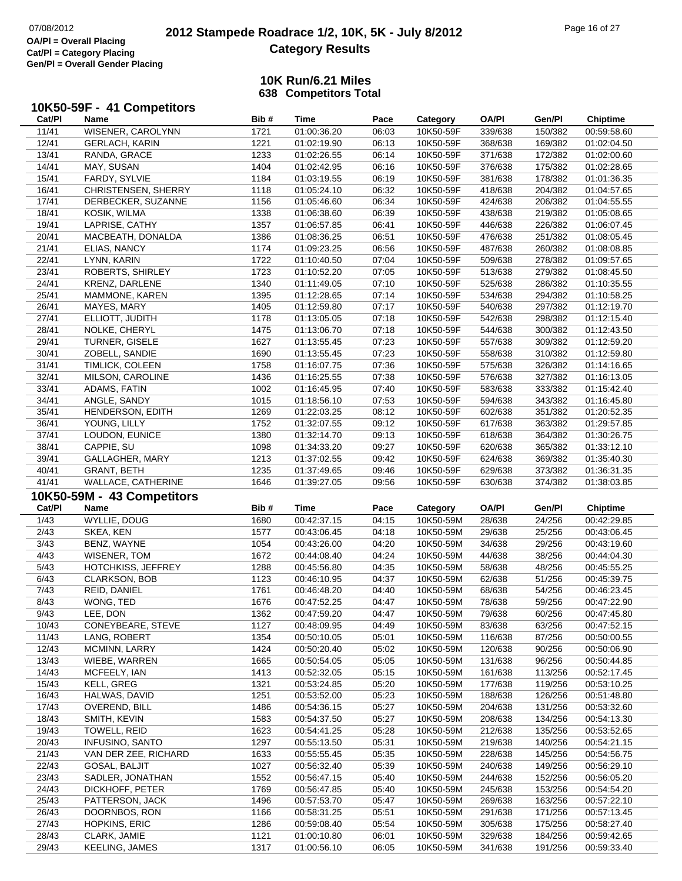# **2012 Stampede Roadrace 1/2, 10K, 5K - July 8/2012** 07/08/2012 Page 16 of 27 **Category Results**

|        | 10K50-59F - 41 Competitors |      |             |       |           |              |         |                 |
|--------|----------------------------|------|-------------|-------|-----------|--------------|---------|-----------------|
| Cat/PI | Name                       | Bib# | Time        | Pace  | Category  | <b>OA/PI</b> | Gen/Pl  | <b>Chiptime</b> |
| 11/41  | WISENER, CAROLYNN          | 1721 | 01:00:36.20 | 06:03 | 10K50-59F | 339/638      | 150/382 | 00:59:58.60     |
| 12/41  | <b>GERLACH, KARIN</b>      | 1221 | 01:02:19.90 | 06:13 | 10K50-59F | 368/638      | 169/382 | 01:02:04.50     |
| 13/41  | RANDA, GRACE               | 1233 | 01:02:26.55 | 06:14 | 10K50-59F | 371/638      | 172/382 | 01:02:00.60     |
| 14/41  | MAY, SUSAN                 | 1404 | 01:02:42.95 | 06:16 | 10K50-59F | 376/638      | 175/382 | 01:02:28.65     |
| 15/41  | FARDY, SYLVIE              | 1184 | 01:03:19.55 | 06:19 | 10K50-59F | 381/638      | 178/382 | 01:01:36.35     |
| 16/41  | CHRISTENSEN, SHERRY        | 1118 | 01:05:24.10 | 06:32 | 10K50-59F | 418/638      | 204/382 | 01:04:57.65     |
| 17/41  | DERBECKER, SUZANNE         | 1156 | 01:05:46.60 | 06:34 | 10K50-59F | 424/638      | 206/382 | 01:04:55.55     |
| 18/41  | KOSIK, WILMA               | 1338 | 01:06:38.60 | 06:39 | 10K50-59F | 438/638      | 219/382 | 01:05:08.65     |
| 19/41  | LAPRISE, CATHY             | 1357 | 01:06:57.85 | 06:41 | 10K50-59F | 446/638      | 226/382 | 01:06:07.45     |
| 20/41  | MACBEATH, DONALDA          | 1386 | 01:08:36.25 | 06:51 | 10K50-59F | 476/638      | 251/382 | 01:08:05.45     |
| 21/41  | ELIAS, NANCY               | 1174 | 01:09:23.25 | 06:56 | 10K50-59F | 487/638      | 260/382 | 01:08:08.85     |
| 22/41  | LYNN, KARIN                | 1722 | 01:10:40.50 | 07:04 | 10K50-59F | 509/638      | 278/382 | 01:09:57.65     |
| 23/41  | ROBERTS, SHIRLEY           | 1723 | 01:10:52.20 | 07:05 | 10K50-59F | 513/638      | 279/382 | 01:08:45.50     |
| 24/41  | <b>KRENZ, DARLENE</b>      | 1340 | 01:11:49.05 | 07:10 | 10K50-59F | 525/638      | 286/382 | 01:10:35.55     |
| 25/41  | MAMMONE, KAREN             | 1395 | 01:12:28.65 | 07:14 | 10K50-59F | 534/638      | 294/382 | 01:10:58.25     |
| 26/41  | MAYES, MARY                | 1405 | 01:12:59.80 | 07:17 | 10K50-59F | 540/638      | 297/382 | 01:12:19.70     |
| 27/41  | ELLIOTT, JUDITH            | 1178 | 01:13:05.05 | 07:18 | 10K50-59F | 542/638      | 298/382 | 01:12:15.40     |
| 28/41  | NOLKE, CHERYL              | 1475 | 01:13:06.70 | 07:18 | 10K50-59F | 544/638      | 300/382 | 01:12:43.50     |
| 29/41  | <b>TURNER, GISELE</b>      | 1627 | 01:13:55.45 | 07:23 | 10K50-59F | 557/638      | 309/382 | 01:12:59.20     |
| 30/41  | ZOBELL, SANDIE             | 1690 | 01:13:55.45 | 07:23 | 10K50-59F | 558/638      | 310/382 | 01:12:59.80     |
| 31/41  | <b>TIMLICK, COLEEN</b>     | 1758 | 01:16:07.75 | 07:36 | 10K50-59F | 575/638      | 326/382 | 01:14:16.65     |
| 32/41  | MILSON, CAROLINE           | 1436 | 01:16:25.55 | 07:38 | 10K50-59F | 576/638      | 327/382 | 01:16:13.05     |
| 33/41  | ADAMS, FATIN               | 1002 | 01:16:45.95 | 07:40 | 10K50-59F | 583/638      | 333/382 | 01:15:42.40     |
| 34/41  | ANGLE, SANDY               | 1015 | 01:18:56.10 | 07:53 | 10K50-59F | 594/638      | 343/382 | 01:16:45.80     |
| 35/41  | HENDERSON, EDITH           | 1269 | 01:22:03.25 | 08:12 | 10K50-59F | 602/638      | 351/382 | 01:20:52.35     |
| 36/41  | YOUNG, LILLY               | 1752 | 01:32:07.55 | 09:12 | 10K50-59F | 617/638      | 363/382 | 01:29:57.85     |
| 37/41  | LOUDON, EUNICE             | 1380 | 01:32:14.70 | 09:13 | 10K50-59F | 618/638      | 364/382 | 01:30:26.75     |
| 38/41  | CAPPIE, SU                 | 1098 | 01:34:33.20 | 09:27 | 10K50-59F | 620/638      | 365/382 | 01:33:12.10     |
| 39/41  | GALLAGHER, MARY            | 1213 | 01:37:02.55 | 09:42 | 10K50-59F | 624/638      | 369/382 | 01:35:40.30     |
| 40/41  | <b>GRANT, BETH</b>         | 1235 | 01:37:49.65 | 09:46 | 10K50-59F | 629/638      | 373/382 | 01:36:31.35     |
| 41/41  | WALLACE, CATHERINE         | 1646 | 01:39:27.05 | 09:56 | 10K50-59F | 630/638      | 374/382 | 01:38:03.85     |
|        | 10K50-59M - 43 Competitors |      |             |       |           |              |         |                 |
| Cat/PI | <b>Name</b>                | Bib# | Time        | Pace  | Category  | <b>OA/PI</b> | Gen/Pl  | <b>Chiptime</b> |
| 1/43   | <b>WYLLIE, DOUG</b>        | 1680 | 00:42:37.15 | 04:15 | 10K50-59M | 28/638       | 24/256  | 00:42:29.85     |
| 2/43   | SKEA, KEN                  | 1577 | 00:43:06.45 | 04:18 | 10K50-59M | 29/638       | 25/256  | 00:43:06.45     |
| 3/43   | BENZ, WAYNE                | 1054 | 00:43:26.00 | 04:20 | 10K50-59M | 34/638       | 29/256  | 00:43:19.60     |
| 4/43   | WISENER, TOM               | 1672 | 00:44:08.40 | 04:24 | 10K50-59M | 44/638       | 38/256  | 00:44:04.30     |
| 5/43   | HOTCHKISS, JEFFREY         | 1288 | 00:45:56.80 | 04:35 | 10K50-59M | 58/638       | 48/256  | 00:45:55.25     |
| 6/43   | <b>CLARKSON, BOB</b>       | 1123 | 00:46:10.95 | 04:37 | 10K50-59M | 62/638       | 51/256  | 00:45:39.75     |
| 7/43   | <b>REID. DANIEL</b>        | 1761 | 00:46:48.20 | 04:40 | 10K50-59M | 68/638       | 54/256  | 00:46:23.45     |
| 8/43   | WONG, TED                  | 1676 | 00:47:52.25 | 04:47 | 10K50-59M | 78/638       | 59/256  | 00:47:22.90     |
| 9/43   | LEE, DON                   | 1362 | 00:47:59.20 | 04:47 | 10K50-59M | 79/638       | 60/256  | 00:47:45.80     |
| 10/43  | CONEYBEARE, STEVE          | 1127 | 00:48:09.95 | 04:49 | 10K50-59M | 83/638       | 63/256  | 00:47:52.15     |
| 11/43  | LANG, ROBERT               | 1354 | 00:50:10.05 | 05:01 | 10K50-59M | 116/638      | 87/256  | 00:50:00.55     |
| 12/43  | MCMINN, LARRY              | 1424 | 00:50:20.40 | 05:02 | 10K50-59M | 120/638      | 90/256  | 00:50:06.90     |
| 13/43  | WIEBE, WARREN              | 1665 | 00:50:54.05 | 05:05 | 10K50-59M | 131/638      | 96/256  | 00:50:44.85     |
| 14/43  | MCFEELY, IAN               | 1413 | 00:52:32.05 | 05:15 | 10K50-59M | 161/638      | 113/256 | 00:52:17.45     |
| 15/43  | KELL, GREG                 | 1321 | 00:53:24.85 | 05:20 | 10K50-59M | 177/638      | 119/256 | 00:53:10.25     |
| 16/43  | HALWAS, DAVID              | 1251 | 00:53:52.00 | 05:23 | 10K50-59M | 188/638      | 126/256 | 00:51:48.80     |
| 17/43  | OVEREND, BILL              | 1486 | 00:54:36.15 | 05:27 | 10K50-59M | 204/638      | 131/256 | 00:53:32.60     |
| 18/43  | SMITH, KEVIN               | 1583 | 00:54:37.50 | 05:27 | 10K50-59M | 208/638      | 134/256 | 00:54:13.30     |
| 19/43  | TOWELL, REID               | 1623 | 00:54:41.25 | 05:28 | 10K50-59M | 212/638      | 135/256 | 00:53:52.65     |
| 20/43  | <b>INFUSINO, SANTO</b>     | 1297 | 00:55:13.50 | 05:31 | 10K50-59M | 219/638      | 140/256 | 00:54:21.15     |
| 21/43  | VAN DER ZEE, RICHARD       | 1633 | 00:55:55.45 | 05:35 | 10K50-59M | 228/638      | 145/256 | 00:54:56.75     |
| 22/43  | GOSAL, BALJIT              | 1027 | 00:56:32.40 | 05:39 | 10K50-59M | 240/638      | 149/256 | 00:56:29.10     |
| 23/43  | SADLER, JONATHAN           | 1552 | 00:56:47.15 | 05:40 | 10K50-59M | 244/638      | 152/256 | 00:56:05.20     |
| 24/43  | DICKHOFF, PETER            | 1769 | 00:56:47.85 | 05:40 | 10K50-59M | 245/638      | 153/256 | 00:54:54.20     |
| 25/43  | PATTERSON, JACK            | 1496 | 00:57:53.70 | 05:47 | 10K50-59M | 269/638      | 163/256 | 00:57:22.10     |
| 26/43  | DOORNBOS, RON              | 1166 | 00:58:31.25 | 05:51 | 10K50-59M | 291/638      | 171/256 | 00:57:13.45     |
| 27/43  | <b>HOPKINS, ERIC</b>       | 1286 | 00:59:08.40 | 05:54 | 10K50-59M | 305/638      | 175/256 | 00:58:27.40     |
| 28/43  | CLARK, JAMIE               | 1121 | 01:00:10.80 | 06:01 | 10K50-59M | 329/638      | 184/256 | 00:59:42.65     |
| 29/43  | <b>KEELING, JAMES</b>      | 1317 | 01:00:56.10 | 06:05 | 10K50-59M | 341/638      | 191/256 | 00:59:33.40     |